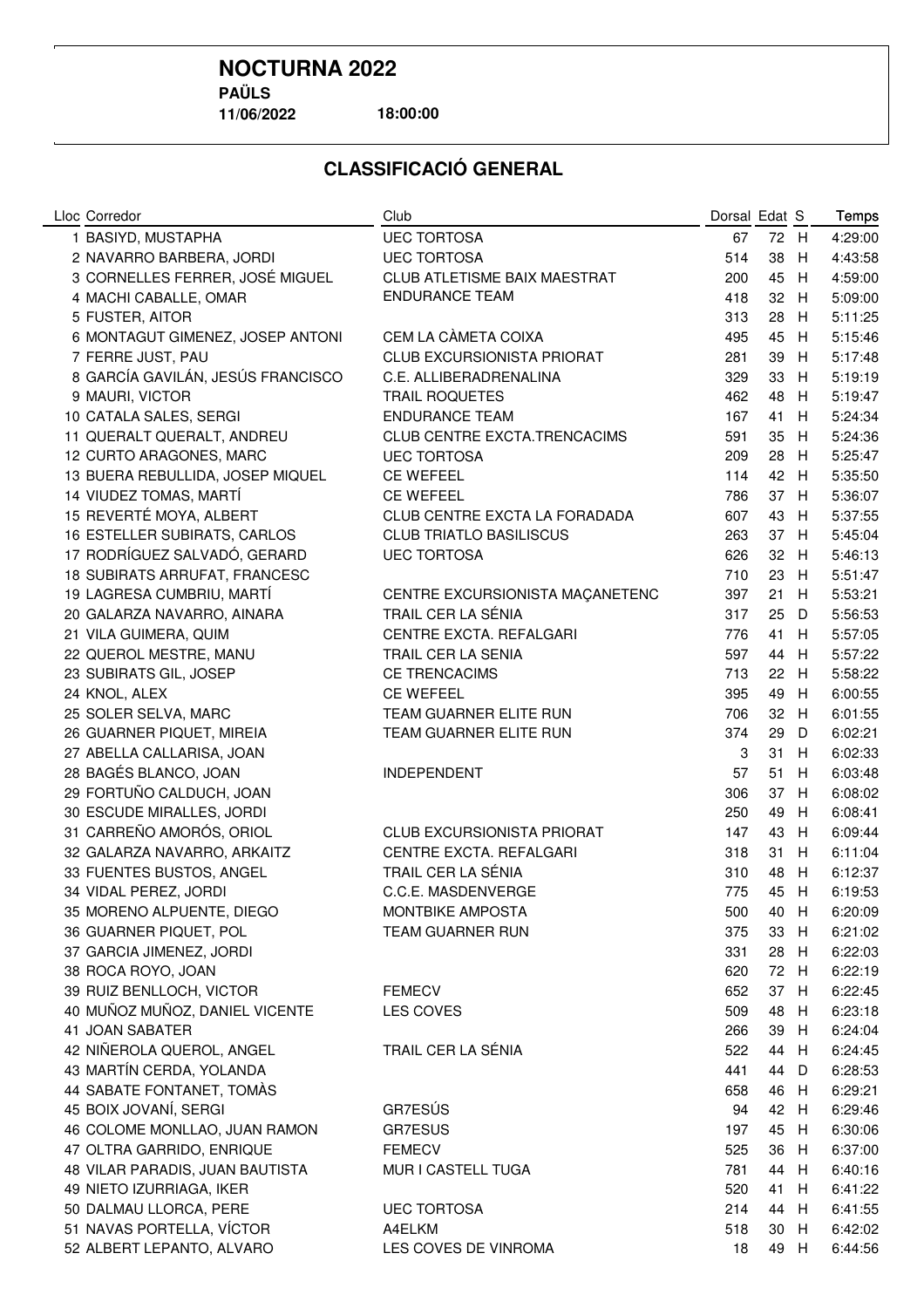**11/06/2022**

**18:00:00**

| Lloc Corredor                     | Club                              | Dorsal Edat S |      |     | Temps   |
|-----------------------------------|-----------------------------------|---------------|------|-----|---------|
| 1 BASIYD, MUSTAPHA                | <b>UEC TORTOSA</b>                | 67            | 72 H |     | 4:29:00 |
| 2 NAVARRO BARBERA, JORDI          | <b>UEC TORTOSA</b>                | 514           | 38   | H   | 4:43:58 |
| 3 CORNELLES FERRER, JOSÉ MIGUEL   | CLUB ATLETISME BAIX MAESTRAT      | 200           | 45   | H   | 4:59:00 |
| 4 MACHI CABALLE, OMAR             | <b>ENDURANCE TEAM</b>             | 418           | 32 H |     | 5:09:00 |
| 5 FUSTER, AITOR                   |                                   | 313           | 28   | H   | 5:11:25 |
| 6 MONTAGUT GIMENEZ, JOSEP ANTONI  | CEM LA CÀMETA COIXA               | 495           | 45   | H   | 5:15:46 |
| 7 FERRE JUST, PAU                 | <b>CLUB EXCURSIONISTA PRIORAT</b> | 281           | 39   | H   | 5:17:48 |
| 8 GARCÍA GAVILÁN, JESÚS FRANCISCO | C.E. ALLIBERADRENALINA            | 329           | 33   | H   | 5:19:19 |
| 9 MAURI, VICTOR                   | <b>TRAIL ROQUETES</b>             | 462           | 48   | H   | 5:19:47 |
| 10 CATALA SALES, SERGI            | <b>ENDURANCE TEAM</b>             | 167           | 41 H |     | 5:24:34 |
| 11 QUERALT QUERALT, ANDREU        | CLUB CENTRE EXCTA.TRENCACIMS      | 591           | 35   | H   | 5:24:36 |
| 12 CURTO ARAGONES, MARC           | <b>UEC TORTOSA</b>                | 209           | 28   | H   | 5:25:47 |
| 13 BUERA REBULLIDA, JOSEP MIQUEL  | <b>CE WEFEEL</b>                  | 114           | 42 H |     | 5:35:50 |
| 14 VIUDEZ TOMAS, MARTÍ            | <b>CE WEFEEL</b>                  | 786           | 37 H |     | 5:36:07 |
| 15 REVERTÉ MOYA, ALBERT           | CLUB CENTRE EXCTA LA FORADADA     | 607           | 43   | H   | 5:37:55 |
| 16 ESTELLER SUBIRATS, CARLOS      | <b>CLUB TRIATLO BASILISCUS</b>    | 263           | 37   | H   | 5:45:04 |
| 17 RODRÍGUEZ SALVADÓ, GERARD      | <b>UEC TORTOSA</b>                | 626           | 32   | H   | 5:46:13 |
| 18 SUBIRATS ARRUFAT, FRANCESC     |                                   | 710           | 23   | H   | 5:51:47 |
| 19 LAGRESA CUMBRIU, MARTÍ         | CENTRE EXCURSIONISTA MAÇANETENC   | 397           | 21   | H   | 5:53:21 |
| 20 GALARZA NAVARRO, AINARA        | TRAIL CER LA SÉNIA                | 317           | 25   | D   | 5:56:53 |
| 21 VILA GUIMERA, QUIM             | CENTRE EXCTA. REFALGARI           | 776           | 41   | H   | 5:57:05 |
| 22 QUEROL MESTRE, MANU            | TRAIL CER LA SENIA                | 597           | 44   | H   | 5:57:22 |
| 23 SUBIRATS GIL, JOSEP            | <b>CE TRENCACIMS</b>              | 713           | 22 H |     | 5:58:22 |
| 24 KNOL, ALEX                     | <b>CE WEFEEL</b>                  | 395           | 49   | H   | 6:00:55 |
| 25 SOLER SELVA, MARC              | TEAM GUARNER ELITE RUN            | 706           | 32 H |     | 6:01:55 |
| 26 GUARNER PIQUET, MIREIA         | TEAM GUARNER ELITE RUN            | 374           | 29   | D   | 6:02:21 |
| 27 ABELLA CALLARISA, JOAN         |                                   | 3             | 31   | H   | 6:02:33 |
| 28 BAGÉS BLANCO, JOAN             | <b>INDEPENDENT</b>                | 57            | 51   | H   | 6:03:48 |
| 29 FORTUÑO CALDUCH, JOAN          |                                   | 306           | 37   | H   | 6:08:02 |
| 30 ESCUDE MIRALLES, JORDI         |                                   | 250           | 49   | H   | 6:08:41 |
| 31 CARREÑO AMORÓS, ORIOL          | <b>CLUB EXCURSIONISTA PRIORAT</b> | 147           | 43   | H   | 6:09:44 |
| 32 GALARZA NAVARRO, ARKAITZ       | CENTRE EXCTA. REFALGARI           | 318           | 31   | H   | 6:11:04 |
| 33 FUENTES BUSTOS, ANGEL          | TRAIL CER LA SÉNIA                | 310           | 48   | H   | 6:12:37 |
| 34 VIDAL PEREZ, JORDI             | C.C.E. MASDENVERGE                | 775           | 45   | H.  | 6:19:53 |
| 35 MORENO ALPUENTE, DIEGO         | MONTBIKE AMPOSTA                  | 500           | 40 H |     | 6:20:09 |
| 36 GUARNER PIQUET, POL            | TEAM GUARNER RUN                  | 375           | 33 H |     | 6:21:02 |
| 37 GARCIA JIMENEZ, JORDI          |                                   | 331           | 28 H |     | 6:22:03 |
| 38 ROCA ROYO, JOAN                |                                   | 620           | 72 H |     | 6:22:19 |
| 39 RUIZ BENLLOCH, VICTOR          | <b>FEMECV</b>                     | 652           | 37 H |     | 6:22:45 |
| 40 MUÑOZ MUÑOZ, DANIEL VICENTE    | LES COVES                         | 509           | 48   | - H | 6:23:18 |
| 41 JOAN SABATER                   |                                   | 266           | 39 H |     | 6:24:04 |
| 42 NIÑEROLA QUEROL, ANGEL         | TRAIL CER LA SÉNIA                | 522           | 44 H |     | 6:24:45 |
| 43 MARTÍN CERDA, YOLANDA          |                                   | 441           | 44 D |     | 6:28:53 |
| 44 SABATE FONTANET, TOMÀS         |                                   | 658           | 46 H |     | 6:29:21 |
| 45 BOIX JOVANÍ, SERGI             | GR7ESÚS                           | 94            | 42 H |     | 6:29:46 |
| 46 COLOME MONLLAO, JUAN RAMON     | GR7ESUS                           | 197           | 45 H |     | 6:30:06 |
| 47 OLTRA GARRIDO, ENRIQUE         | <b>FEMECV</b>                     | 525           | 36 H |     | 6:37:00 |
| 48 VILAR PARADIS, JUAN BAUTISTA   | MUR I CASTELL TUGA                | 781           | 44 H |     | 6:40:16 |
| 49 NIETO IZURRIAGA, IKER          |                                   | 520           | 41 H |     | 6:41:22 |
| 50 DALMAU LLORCA, PERE            | <b>UEC TORTOSA</b>                | 214           | 44 H |     | 6:41:55 |
| 51 NAVAS PORTELLA, VÍCTOR         | A4ELKM                            | 518           | 30 H |     | 6:42:02 |
| 52 ALBERT LEPANTO, ALVARO         | LES COVES DE VINROMA              | 18            | 49 H |     | 6:44:56 |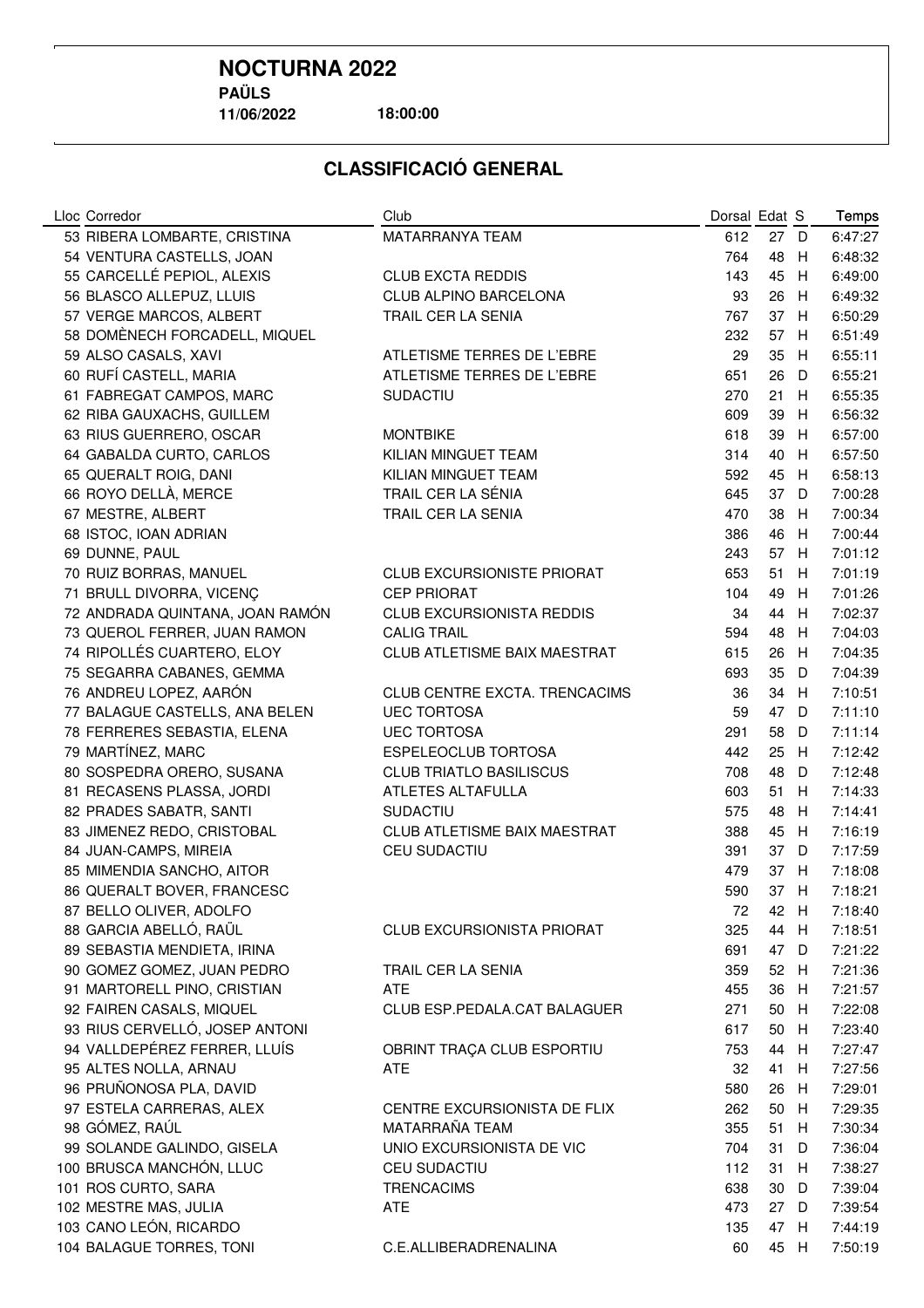**11/06/2022**

**18:00:00**

| MATARRANYA TEAM<br>27 D<br>6:47:27<br>53 RIBERA LOMBARTE, CRISTINA<br>612<br>54 VENTURA CASTELLS, JOAN<br>764<br>48<br>6:48:32<br>H<br>55 CARCELLÉ PEPIOL, ALEXIS<br>45<br>6:49:00<br><b>CLUB EXCTA REDDIS</b><br>143<br>H<br>56 BLASCO ALLEPUZ, LLUIS<br>CLUB ALPINO BARCELONA<br>6:49:32<br>93<br>26<br>H<br>57 VERGE MARCOS, ALBERT<br>767<br>37 H<br>6:50:29<br>TRAIL CER LA SENIA<br>58 DOMÈNECH FORCADELL, MIQUEL<br>57 H<br>6:51:49<br>232<br>59 ALSO CASALS, XAVI<br>35<br>6:55:11<br>ATLETISME TERRES DE L'EBRE<br>29<br>H<br>60 RUFÍ CASTELL, MARIA<br>26<br>6:55:21<br>ATLETISME TERRES DE L'EBRE<br>651<br>- D<br>61 FABREGAT CAMPOS, MARC<br><b>SUDACTIU</b><br>270<br>21<br>6:55:35<br>H<br>62 RIBA GAUXACHS, GUILLEM<br>609<br>39<br>6:56:32<br>- H<br>63 RIUS GUERRERO, OSCAR<br>6:57:00<br><b>MONTBIKE</b><br>618<br>39 H<br>64 GABALDA CURTO, CARLOS<br>6:57:50<br>KILIAN MINGUET TEAM<br>314<br>40 H<br>65 QUERALT ROIG, DANI<br>KILIAN MINGUET TEAM<br>592<br>45 H<br>6:58:13<br>66 ROYO DELLÀ, MERCE<br>TRAIL CER LA SÉNIA<br>7:00:28<br>645<br>37 D<br>67 MESTRE, ALBERT<br>7:00:34<br>TRAIL CER LA SENIA<br>470<br>38 H<br>68 ISTOC, IOAN ADRIAN<br>7:00:44<br>386<br>46<br>H<br>69 DUNNE, PAUL<br>57<br>7:01:12<br>243<br>H<br>70 RUIZ BORRAS, MANUEL<br>653<br>51<br>7:01:19<br><b>CLUB EXCURSIONISTE PRIORAT</b><br>H<br>71 BRULL DIVORRA, VICENÇ<br>7:01:26<br><b>CEP PRIORAT</b><br>104<br>49<br>H<br>72 ANDRADA QUINTANA, JOAN RAMÓN<br>CLUB EXCURSIONISTA REDDIS<br>7:02:37<br>34<br>44<br>H<br>73 QUEROL FERRER, JUAN RAMON<br><b>CALIG TRAIL</b><br>7:04:03<br>594<br>48<br>H<br>CLUB ATLETISME BAIX MAESTRAT<br>74 RIPOLLÉS CUARTERO, ELOY<br>7:04:35<br>615<br>26<br>H<br>75 SEGARRA CABANES, GEMMA<br>35<br>7:04:39<br>693<br>D<br>76 ANDREU LOPEZ, AARÓN<br>7:10:51<br>34<br>CLUB CENTRE EXCTA. TRENCACIMS<br>36<br>H<br>77 BALAGUE CASTELLS, ANA BELEN<br>47 D<br>7:11:10<br><b>UEC TORTOSA</b><br>59<br>78 FERRERES SEBASTIA, ELENA<br>58<br>7:11:14<br><b>UEC TORTOSA</b><br>291<br>- D<br>79 MARTÍNEZ, MARC<br>7:12:42<br>ESPELEOCLUB TORTOSA<br>442<br>25 H<br>48<br>7:12:48<br>80 SOSPEDRA ORERO, SUSANA<br><b>CLUB TRIATLO BASILISCUS</b><br>708<br>- D<br>81 RECASENS PLASSA, JORDI<br>ATLETES ALTAFULLA<br>603<br>51<br>7:14:33<br>H<br>82 PRADES SABATR, SANTI<br>7:14:41<br>SUDACTIU<br>575<br>48<br>H<br>7:16:19<br>83 JIMENEZ REDO, CRISTOBAL<br>CLUB ATLETISME BAIX MAESTRAT<br>388<br>45<br>H<br>84 JUAN-CAMPS, MIREIA<br>37<br>7:17:59<br>CEU SUDACTIU<br>391<br>D<br>85 MIMENDIA SANCHO, AITOR<br>37<br>479<br>H<br>7:18:08<br>37<br>86 QUERALT BOVER, FRANCESC<br>590<br>H<br>7:18:21<br>87 BELLO OLIVER, ADOLFO<br>7:18:40<br>72<br>42 H<br>88 GARCIA ABELLÓ, RAÜL<br>CLUB EXCURSIONISTA PRIORAT<br>325<br>44 H<br>7:18:51<br>89 SEBASTIA MENDIETA, IRINA<br>691<br>47 D<br>7:21:22<br>90 GOMEZ GOMEZ, JUAN PEDRO<br>7:21:36<br>TRAIL CER LA SENIA<br>359<br>52 H<br>91 MARTORELL PINO, CRISTIAN<br><b>ATE</b><br>455<br>36 H<br>7:21:57<br>92 FAIREN CASALS, MIQUEL<br>7:22:08<br>CLUB ESP.PEDALA.CAT BALAGUER<br>271<br>50 H<br>93 RIUS CERVELLÓ, JOSEP ANTONI<br>50<br>7:23:40<br>617<br>H<br>94 VALLDEPÉREZ FERRER, LLUÍS<br>7:27:47<br>OBRINT TRAÇA CLUB ESPORTIU<br>753<br>44<br>- H<br>95 ALTES NOLLA, ARNAU<br><b>ATE</b><br>32<br>41<br>7:27:56<br>- H<br>96 PRUÑONOSA PLA, DAVID<br>7:29:01<br>580<br>26<br>H<br>97 ESTELA CARRERAS, ALEX<br>7:29:35<br>CENTRE EXCURSIONISTA DE FLIX<br>262<br>50<br>H<br>98 GÓMEZ, RAÚL<br>MATARRAÑA TEAM<br>7:30:34<br>355<br>51<br>- H<br>99 SOLANDE GALINDO, GISELA<br>UNIO EXCURSIONISTA DE VIC<br>7:36:04<br>704<br>31<br>D<br>100 BRUSCA MANCHÓN, LLUC<br>CEU SUDACTIU<br>7:38:27<br>112<br>31<br>H<br>101 ROS CURTO, SARA<br>7:39:04<br><b>TRENCACIMS</b><br>638<br>30<br>- D<br>102 MESTRE MAS, JULIA<br>ATE<br>473<br>27 D<br>7:39:54<br>103 CANO LEÓN, RICARDO<br>47 H<br>7:44:19<br>135<br>45 H | Lloc Corredor            | Club                  | Dorsal Edat S |  | Temps   |
|--------------------------------------------------------------------------------------------------------------------------------------------------------------------------------------------------------------------------------------------------------------------------------------------------------------------------------------------------------------------------------------------------------------------------------------------------------------------------------------------------------------------------------------------------------------------------------------------------------------------------------------------------------------------------------------------------------------------------------------------------------------------------------------------------------------------------------------------------------------------------------------------------------------------------------------------------------------------------------------------------------------------------------------------------------------------------------------------------------------------------------------------------------------------------------------------------------------------------------------------------------------------------------------------------------------------------------------------------------------------------------------------------------------------------------------------------------------------------------------------------------------------------------------------------------------------------------------------------------------------------------------------------------------------------------------------------------------------------------------------------------------------------------------------------------------------------------------------------------------------------------------------------------------------------------------------------------------------------------------------------------------------------------------------------------------------------------------------------------------------------------------------------------------------------------------------------------------------------------------------------------------------------------------------------------------------------------------------------------------------------------------------------------------------------------------------------------------------------------------------------------------------------------------------------------------------------------------------------------------------------------------------------------------------------------------------------------------------------------------------------------------------------------------------------------------------------------------------------------------------------------------------------------------------------------------------------------------------------------------------------------------------------------------------------------------------------------------------------------------------------------------------------------------------------------------------------------------------------------------------------------------------------------------------------------------------------------------------------------------------------------------------------------------------------------------------------------------------------------------------------------------------------------------------------------------------------------------------------------------------------------------------------------------------------------------------------------------------------------------------------------------------------------------------------------------------------------------------------------------------------------------------------------------|--------------------------|-----------------------|---------------|--|---------|
|                                                                                                                                                                                                                                                                                                                                                                                                                                                                                                                                                                                                                                                                                                                                                                                                                                                                                                                                                                                                                                                                                                                                                                                                                                                                                                                                                                                                                                                                                                                                                                                                                                                                                                                                                                                                                                                                                                                                                                                                                                                                                                                                                                                                                                                                                                                                                                                                                                                                                                                                                                                                                                                                                                                                                                                                                                                                                                                                                                                                                                                                                                                                                                                                                                                                                                                                                                                                                                                                                                                                                                                                                                                                                                                                                                                                                                                                                                              |                          |                       |               |  |         |
|                                                                                                                                                                                                                                                                                                                                                                                                                                                                                                                                                                                                                                                                                                                                                                                                                                                                                                                                                                                                                                                                                                                                                                                                                                                                                                                                                                                                                                                                                                                                                                                                                                                                                                                                                                                                                                                                                                                                                                                                                                                                                                                                                                                                                                                                                                                                                                                                                                                                                                                                                                                                                                                                                                                                                                                                                                                                                                                                                                                                                                                                                                                                                                                                                                                                                                                                                                                                                                                                                                                                                                                                                                                                                                                                                                                                                                                                                                              |                          |                       |               |  |         |
|                                                                                                                                                                                                                                                                                                                                                                                                                                                                                                                                                                                                                                                                                                                                                                                                                                                                                                                                                                                                                                                                                                                                                                                                                                                                                                                                                                                                                                                                                                                                                                                                                                                                                                                                                                                                                                                                                                                                                                                                                                                                                                                                                                                                                                                                                                                                                                                                                                                                                                                                                                                                                                                                                                                                                                                                                                                                                                                                                                                                                                                                                                                                                                                                                                                                                                                                                                                                                                                                                                                                                                                                                                                                                                                                                                                                                                                                                                              |                          |                       |               |  |         |
|                                                                                                                                                                                                                                                                                                                                                                                                                                                                                                                                                                                                                                                                                                                                                                                                                                                                                                                                                                                                                                                                                                                                                                                                                                                                                                                                                                                                                                                                                                                                                                                                                                                                                                                                                                                                                                                                                                                                                                                                                                                                                                                                                                                                                                                                                                                                                                                                                                                                                                                                                                                                                                                                                                                                                                                                                                                                                                                                                                                                                                                                                                                                                                                                                                                                                                                                                                                                                                                                                                                                                                                                                                                                                                                                                                                                                                                                                                              |                          |                       |               |  |         |
|                                                                                                                                                                                                                                                                                                                                                                                                                                                                                                                                                                                                                                                                                                                                                                                                                                                                                                                                                                                                                                                                                                                                                                                                                                                                                                                                                                                                                                                                                                                                                                                                                                                                                                                                                                                                                                                                                                                                                                                                                                                                                                                                                                                                                                                                                                                                                                                                                                                                                                                                                                                                                                                                                                                                                                                                                                                                                                                                                                                                                                                                                                                                                                                                                                                                                                                                                                                                                                                                                                                                                                                                                                                                                                                                                                                                                                                                                                              |                          |                       |               |  |         |
|                                                                                                                                                                                                                                                                                                                                                                                                                                                                                                                                                                                                                                                                                                                                                                                                                                                                                                                                                                                                                                                                                                                                                                                                                                                                                                                                                                                                                                                                                                                                                                                                                                                                                                                                                                                                                                                                                                                                                                                                                                                                                                                                                                                                                                                                                                                                                                                                                                                                                                                                                                                                                                                                                                                                                                                                                                                                                                                                                                                                                                                                                                                                                                                                                                                                                                                                                                                                                                                                                                                                                                                                                                                                                                                                                                                                                                                                                                              |                          |                       |               |  |         |
|                                                                                                                                                                                                                                                                                                                                                                                                                                                                                                                                                                                                                                                                                                                                                                                                                                                                                                                                                                                                                                                                                                                                                                                                                                                                                                                                                                                                                                                                                                                                                                                                                                                                                                                                                                                                                                                                                                                                                                                                                                                                                                                                                                                                                                                                                                                                                                                                                                                                                                                                                                                                                                                                                                                                                                                                                                                                                                                                                                                                                                                                                                                                                                                                                                                                                                                                                                                                                                                                                                                                                                                                                                                                                                                                                                                                                                                                                                              |                          |                       |               |  |         |
|                                                                                                                                                                                                                                                                                                                                                                                                                                                                                                                                                                                                                                                                                                                                                                                                                                                                                                                                                                                                                                                                                                                                                                                                                                                                                                                                                                                                                                                                                                                                                                                                                                                                                                                                                                                                                                                                                                                                                                                                                                                                                                                                                                                                                                                                                                                                                                                                                                                                                                                                                                                                                                                                                                                                                                                                                                                                                                                                                                                                                                                                                                                                                                                                                                                                                                                                                                                                                                                                                                                                                                                                                                                                                                                                                                                                                                                                                                              |                          |                       |               |  |         |
|                                                                                                                                                                                                                                                                                                                                                                                                                                                                                                                                                                                                                                                                                                                                                                                                                                                                                                                                                                                                                                                                                                                                                                                                                                                                                                                                                                                                                                                                                                                                                                                                                                                                                                                                                                                                                                                                                                                                                                                                                                                                                                                                                                                                                                                                                                                                                                                                                                                                                                                                                                                                                                                                                                                                                                                                                                                                                                                                                                                                                                                                                                                                                                                                                                                                                                                                                                                                                                                                                                                                                                                                                                                                                                                                                                                                                                                                                                              |                          |                       |               |  |         |
|                                                                                                                                                                                                                                                                                                                                                                                                                                                                                                                                                                                                                                                                                                                                                                                                                                                                                                                                                                                                                                                                                                                                                                                                                                                                                                                                                                                                                                                                                                                                                                                                                                                                                                                                                                                                                                                                                                                                                                                                                                                                                                                                                                                                                                                                                                                                                                                                                                                                                                                                                                                                                                                                                                                                                                                                                                                                                                                                                                                                                                                                                                                                                                                                                                                                                                                                                                                                                                                                                                                                                                                                                                                                                                                                                                                                                                                                                                              |                          |                       |               |  |         |
|                                                                                                                                                                                                                                                                                                                                                                                                                                                                                                                                                                                                                                                                                                                                                                                                                                                                                                                                                                                                                                                                                                                                                                                                                                                                                                                                                                                                                                                                                                                                                                                                                                                                                                                                                                                                                                                                                                                                                                                                                                                                                                                                                                                                                                                                                                                                                                                                                                                                                                                                                                                                                                                                                                                                                                                                                                                                                                                                                                                                                                                                                                                                                                                                                                                                                                                                                                                                                                                                                                                                                                                                                                                                                                                                                                                                                                                                                                              |                          |                       |               |  |         |
|                                                                                                                                                                                                                                                                                                                                                                                                                                                                                                                                                                                                                                                                                                                                                                                                                                                                                                                                                                                                                                                                                                                                                                                                                                                                                                                                                                                                                                                                                                                                                                                                                                                                                                                                                                                                                                                                                                                                                                                                                                                                                                                                                                                                                                                                                                                                                                                                                                                                                                                                                                                                                                                                                                                                                                                                                                                                                                                                                                                                                                                                                                                                                                                                                                                                                                                                                                                                                                                                                                                                                                                                                                                                                                                                                                                                                                                                                                              |                          |                       |               |  |         |
|                                                                                                                                                                                                                                                                                                                                                                                                                                                                                                                                                                                                                                                                                                                                                                                                                                                                                                                                                                                                                                                                                                                                                                                                                                                                                                                                                                                                                                                                                                                                                                                                                                                                                                                                                                                                                                                                                                                                                                                                                                                                                                                                                                                                                                                                                                                                                                                                                                                                                                                                                                                                                                                                                                                                                                                                                                                                                                                                                                                                                                                                                                                                                                                                                                                                                                                                                                                                                                                                                                                                                                                                                                                                                                                                                                                                                                                                                                              |                          |                       |               |  |         |
|                                                                                                                                                                                                                                                                                                                                                                                                                                                                                                                                                                                                                                                                                                                                                                                                                                                                                                                                                                                                                                                                                                                                                                                                                                                                                                                                                                                                                                                                                                                                                                                                                                                                                                                                                                                                                                                                                                                                                                                                                                                                                                                                                                                                                                                                                                                                                                                                                                                                                                                                                                                                                                                                                                                                                                                                                                                                                                                                                                                                                                                                                                                                                                                                                                                                                                                                                                                                                                                                                                                                                                                                                                                                                                                                                                                                                                                                                                              |                          |                       |               |  |         |
|                                                                                                                                                                                                                                                                                                                                                                                                                                                                                                                                                                                                                                                                                                                                                                                                                                                                                                                                                                                                                                                                                                                                                                                                                                                                                                                                                                                                                                                                                                                                                                                                                                                                                                                                                                                                                                                                                                                                                                                                                                                                                                                                                                                                                                                                                                                                                                                                                                                                                                                                                                                                                                                                                                                                                                                                                                                                                                                                                                                                                                                                                                                                                                                                                                                                                                                                                                                                                                                                                                                                                                                                                                                                                                                                                                                                                                                                                                              |                          |                       |               |  |         |
|                                                                                                                                                                                                                                                                                                                                                                                                                                                                                                                                                                                                                                                                                                                                                                                                                                                                                                                                                                                                                                                                                                                                                                                                                                                                                                                                                                                                                                                                                                                                                                                                                                                                                                                                                                                                                                                                                                                                                                                                                                                                                                                                                                                                                                                                                                                                                                                                                                                                                                                                                                                                                                                                                                                                                                                                                                                                                                                                                                                                                                                                                                                                                                                                                                                                                                                                                                                                                                                                                                                                                                                                                                                                                                                                                                                                                                                                                                              |                          |                       |               |  |         |
|                                                                                                                                                                                                                                                                                                                                                                                                                                                                                                                                                                                                                                                                                                                                                                                                                                                                                                                                                                                                                                                                                                                                                                                                                                                                                                                                                                                                                                                                                                                                                                                                                                                                                                                                                                                                                                                                                                                                                                                                                                                                                                                                                                                                                                                                                                                                                                                                                                                                                                                                                                                                                                                                                                                                                                                                                                                                                                                                                                                                                                                                                                                                                                                                                                                                                                                                                                                                                                                                                                                                                                                                                                                                                                                                                                                                                                                                                                              |                          |                       |               |  |         |
|                                                                                                                                                                                                                                                                                                                                                                                                                                                                                                                                                                                                                                                                                                                                                                                                                                                                                                                                                                                                                                                                                                                                                                                                                                                                                                                                                                                                                                                                                                                                                                                                                                                                                                                                                                                                                                                                                                                                                                                                                                                                                                                                                                                                                                                                                                                                                                                                                                                                                                                                                                                                                                                                                                                                                                                                                                                                                                                                                                                                                                                                                                                                                                                                                                                                                                                                                                                                                                                                                                                                                                                                                                                                                                                                                                                                                                                                                                              |                          |                       |               |  |         |
|                                                                                                                                                                                                                                                                                                                                                                                                                                                                                                                                                                                                                                                                                                                                                                                                                                                                                                                                                                                                                                                                                                                                                                                                                                                                                                                                                                                                                                                                                                                                                                                                                                                                                                                                                                                                                                                                                                                                                                                                                                                                                                                                                                                                                                                                                                                                                                                                                                                                                                                                                                                                                                                                                                                                                                                                                                                                                                                                                                                                                                                                                                                                                                                                                                                                                                                                                                                                                                                                                                                                                                                                                                                                                                                                                                                                                                                                                                              |                          |                       |               |  |         |
|                                                                                                                                                                                                                                                                                                                                                                                                                                                                                                                                                                                                                                                                                                                                                                                                                                                                                                                                                                                                                                                                                                                                                                                                                                                                                                                                                                                                                                                                                                                                                                                                                                                                                                                                                                                                                                                                                                                                                                                                                                                                                                                                                                                                                                                                                                                                                                                                                                                                                                                                                                                                                                                                                                                                                                                                                                                                                                                                                                                                                                                                                                                                                                                                                                                                                                                                                                                                                                                                                                                                                                                                                                                                                                                                                                                                                                                                                                              |                          |                       |               |  |         |
|                                                                                                                                                                                                                                                                                                                                                                                                                                                                                                                                                                                                                                                                                                                                                                                                                                                                                                                                                                                                                                                                                                                                                                                                                                                                                                                                                                                                                                                                                                                                                                                                                                                                                                                                                                                                                                                                                                                                                                                                                                                                                                                                                                                                                                                                                                                                                                                                                                                                                                                                                                                                                                                                                                                                                                                                                                                                                                                                                                                                                                                                                                                                                                                                                                                                                                                                                                                                                                                                                                                                                                                                                                                                                                                                                                                                                                                                                                              |                          |                       |               |  |         |
|                                                                                                                                                                                                                                                                                                                                                                                                                                                                                                                                                                                                                                                                                                                                                                                                                                                                                                                                                                                                                                                                                                                                                                                                                                                                                                                                                                                                                                                                                                                                                                                                                                                                                                                                                                                                                                                                                                                                                                                                                                                                                                                                                                                                                                                                                                                                                                                                                                                                                                                                                                                                                                                                                                                                                                                                                                                                                                                                                                                                                                                                                                                                                                                                                                                                                                                                                                                                                                                                                                                                                                                                                                                                                                                                                                                                                                                                                                              |                          |                       |               |  |         |
|                                                                                                                                                                                                                                                                                                                                                                                                                                                                                                                                                                                                                                                                                                                                                                                                                                                                                                                                                                                                                                                                                                                                                                                                                                                                                                                                                                                                                                                                                                                                                                                                                                                                                                                                                                                                                                                                                                                                                                                                                                                                                                                                                                                                                                                                                                                                                                                                                                                                                                                                                                                                                                                                                                                                                                                                                                                                                                                                                                                                                                                                                                                                                                                                                                                                                                                                                                                                                                                                                                                                                                                                                                                                                                                                                                                                                                                                                                              |                          |                       |               |  |         |
|                                                                                                                                                                                                                                                                                                                                                                                                                                                                                                                                                                                                                                                                                                                                                                                                                                                                                                                                                                                                                                                                                                                                                                                                                                                                                                                                                                                                                                                                                                                                                                                                                                                                                                                                                                                                                                                                                                                                                                                                                                                                                                                                                                                                                                                                                                                                                                                                                                                                                                                                                                                                                                                                                                                                                                                                                                                                                                                                                                                                                                                                                                                                                                                                                                                                                                                                                                                                                                                                                                                                                                                                                                                                                                                                                                                                                                                                                                              |                          |                       |               |  |         |
|                                                                                                                                                                                                                                                                                                                                                                                                                                                                                                                                                                                                                                                                                                                                                                                                                                                                                                                                                                                                                                                                                                                                                                                                                                                                                                                                                                                                                                                                                                                                                                                                                                                                                                                                                                                                                                                                                                                                                                                                                                                                                                                                                                                                                                                                                                                                                                                                                                                                                                                                                                                                                                                                                                                                                                                                                                                                                                                                                                                                                                                                                                                                                                                                                                                                                                                                                                                                                                                                                                                                                                                                                                                                                                                                                                                                                                                                                                              |                          |                       |               |  |         |
|                                                                                                                                                                                                                                                                                                                                                                                                                                                                                                                                                                                                                                                                                                                                                                                                                                                                                                                                                                                                                                                                                                                                                                                                                                                                                                                                                                                                                                                                                                                                                                                                                                                                                                                                                                                                                                                                                                                                                                                                                                                                                                                                                                                                                                                                                                                                                                                                                                                                                                                                                                                                                                                                                                                                                                                                                                                                                                                                                                                                                                                                                                                                                                                                                                                                                                                                                                                                                                                                                                                                                                                                                                                                                                                                                                                                                                                                                                              |                          |                       |               |  |         |
|                                                                                                                                                                                                                                                                                                                                                                                                                                                                                                                                                                                                                                                                                                                                                                                                                                                                                                                                                                                                                                                                                                                                                                                                                                                                                                                                                                                                                                                                                                                                                                                                                                                                                                                                                                                                                                                                                                                                                                                                                                                                                                                                                                                                                                                                                                                                                                                                                                                                                                                                                                                                                                                                                                                                                                                                                                                                                                                                                                                                                                                                                                                                                                                                                                                                                                                                                                                                                                                                                                                                                                                                                                                                                                                                                                                                                                                                                                              |                          |                       |               |  |         |
|                                                                                                                                                                                                                                                                                                                                                                                                                                                                                                                                                                                                                                                                                                                                                                                                                                                                                                                                                                                                                                                                                                                                                                                                                                                                                                                                                                                                                                                                                                                                                                                                                                                                                                                                                                                                                                                                                                                                                                                                                                                                                                                                                                                                                                                                                                                                                                                                                                                                                                                                                                                                                                                                                                                                                                                                                                                                                                                                                                                                                                                                                                                                                                                                                                                                                                                                                                                                                                                                                                                                                                                                                                                                                                                                                                                                                                                                                                              |                          |                       |               |  |         |
|                                                                                                                                                                                                                                                                                                                                                                                                                                                                                                                                                                                                                                                                                                                                                                                                                                                                                                                                                                                                                                                                                                                                                                                                                                                                                                                                                                                                                                                                                                                                                                                                                                                                                                                                                                                                                                                                                                                                                                                                                                                                                                                                                                                                                                                                                                                                                                                                                                                                                                                                                                                                                                                                                                                                                                                                                                                                                                                                                                                                                                                                                                                                                                                                                                                                                                                                                                                                                                                                                                                                                                                                                                                                                                                                                                                                                                                                                                              |                          |                       |               |  |         |
|                                                                                                                                                                                                                                                                                                                                                                                                                                                                                                                                                                                                                                                                                                                                                                                                                                                                                                                                                                                                                                                                                                                                                                                                                                                                                                                                                                                                                                                                                                                                                                                                                                                                                                                                                                                                                                                                                                                                                                                                                                                                                                                                                                                                                                                                                                                                                                                                                                                                                                                                                                                                                                                                                                                                                                                                                                                                                                                                                                                                                                                                                                                                                                                                                                                                                                                                                                                                                                                                                                                                                                                                                                                                                                                                                                                                                                                                                                              |                          |                       |               |  |         |
|                                                                                                                                                                                                                                                                                                                                                                                                                                                                                                                                                                                                                                                                                                                                                                                                                                                                                                                                                                                                                                                                                                                                                                                                                                                                                                                                                                                                                                                                                                                                                                                                                                                                                                                                                                                                                                                                                                                                                                                                                                                                                                                                                                                                                                                                                                                                                                                                                                                                                                                                                                                                                                                                                                                                                                                                                                                                                                                                                                                                                                                                                                                                                                                                                                                                                                                                                                                                                                                                                                                                                                                                                                                                                                                                                                                                                                                                                                              |                          |                       |               |  |         |
|                                                                                                                                                                                                                                                                                                                                                                                                                                                                                                                                                                                                                                                                                                                                                                                                                                                                                                                                                                                                                                                                                                                                                                                                                                                                                                                                                                                                                                                                                                                                                                                                                                                                                                                                                                                                                                                                                                                                                                                                                                                                                                                                                                                                                                                                                                                                                                                                                                                                                                                                                                                                                                                                                                                                                                                                                                                                                                                                                                                                                                                                                                                                                                                                                                                                                                                                                                                                                                                                                                                                                                                                                                                                                                                                                                                                                                                                                                              |                          |                       |               |  |         |
|                                                                                                                                                                                                                                                                                                                                                                                                                                                                                                                                                                                                                                                                                                                                                                                                                                                                                                                                                                                                                                                                                                                                                                                                                                                                                                                                                                                                                                                                                                                                                                                                                                                                                                                                                                                                                                                                                                                                                                                                                                                                                                                                                                                                                                                                                                                                                                                                                                                                                                                                                                                                                                                                                                                                                                                                                                                                                                                                                                                                                                                                                                                                                                                                                                                                                                                                                                                                                                                                                                                                                                                                                                                                                                                                                                                                                                                                                                              |                          |                       |               |  |         |
|                                                                                                                                                                                                                                                                                                                                                                                                                                                                                                                                                                                                                                                                                                                                                                                                                                                                                                                                                                                                                                                                                                                                                                                                                                                                                                                                                                                                                                                                                                                                                                                                                                                                                                                                                                                                                                                                                                                                                                                                                                                                                                                                                                                                                                                                                                                                                                                                                                                                                                                                                                                                                                                                                                                                                                                                                                                                                                                                                                                                                                                                                                                                                                                                                                                                                                                                                                                                                                                                                                                                                                                                                                                                                                                                                                                                                                                                                                              |                          |                       |               |  |         |
|                                                                                                                                                                                                                                                                                                                                                                                                                                                                                                                                                                                                                                                                                                                                                                                                                                                                                                                                                                                                                                                                                                                                                                                                                                                                                                                                                                                                                                                                                                                                                                                                                                                                                                                                                                                                                                                                                                                                                                                                                                                                                                                                                                                                                                                                                                                                                                                                                                                                                                                                                                                                                                                                                                                                                                                                                                                                                                                                                                                                                                                                                                                                                                                                                                                                                                                                                                                                                                                                                                                                                                                                                                                                                                                                                                                                                                                                                                              |                          |                       |               |  |         |
|                                                                                                                                                                                                                                                                                                                                                                                                                                                                                                                                                                                                                                                                                                                                                                                                                                                                                                                                                                                                                                                                                                                                                                                                                                                                                                                                                                                                                                                                                                                                                                                                                                                                                                                                                                                                                                                                                                                                                                                                                                                                                                                                                                                                                                                                                                                                                                                                                                                                                                                                                                                                                                                                                                                                                                                                                                                                                                                                                                                                                                                                                                                                                                                                                                                                                                                                                                                                                                                                                                                                                                                                                                                                                                                                                                                                                                                                                                              |                          |                       |               |  |         |
|                                                                                                                                                                                                                                                                                                                                                                                                                                                                                                                                                                                                                                                                                                                                                                                                                                                                                                                                                                                                                                                                                                                                                                                                                                                                                                                                                                                                                                                                                                                                                                                                                                                                                                                                                                                                                                                                                                                                                                                                                                                                                                                                                                                                                                                                                                                                                                                                                                                                                                                                                                                                                                                                                                                                                                                                                                                                                                                                                                                                                                                                                                                                                                                                                                                                                                                                                                                                                                                                                                                                                                                                                                                                                                                                                                                                                                                                                                              |                          |                       |               |  |         |
|                                                                                                                                                                                                                                                                                                                                                                                                                                                                                                                                                                                                                                                                                                                                                                                                                                                                                                                                                                                                                                                                                                                                                                                                                                                                                                                                                                                                                                                                                                                                                                                                                                                                                                                                                                                                                                                                                                                                                                                                                                                                                                                                                                                                                                                                                                                                                                                                                                                                                                                                                                                                                                                                                                                                                                                                                                                                                                                                                                                                                                                                                                                                                                                                                                                                                                                                                                                                                                                                                                                                                                                                                                                                                                                                                                                                                                                                                                              |                          |                       |               |  |         |
|                                                                                                                                                                                                                                                                                                                                                                                                                                                                                                                                                                                                                                                                                                                                                                                                                                                                                                                                                                                                                                                                                                                                                                                                                                                                                                                                                                                                                                                                                                                                                                                                                                                                                                                                                                                                                                                                                                                                                                                                                                                                                                                                                                                                                                                                                                                                                                                                                                                                                                                                                                                                                                                                                                                                                                                                                                                                                                                                                                                                                                                                                                                                                                                                                                                                                                                                                                                                                                                                                                                                                                                                                                                                                                                                                                                                                                                                                                              |                          |                       |               |  |         |
|                                                                                                                                                                                                                                                                                                                                                                                                                                                                                                                                                                                                                                                                                                                                                                                                                                                                                                                                                                                                                                                                                                                                                                                                                                                                                                                                                                                                                                                                                                                                                                                                                                                                                                                                                                                                                                                                                                                                                                                                                                                                                                                                                                                                                                                                                                                                                                                                                                                                                                                                                                                                                                                                                                                                                                                                                                                                                                                                                                                                                                                                                                                                                                                                                                                                                                                                                                                                                                                                                                                                                                                                                                                                                                                                                                                                                                                                                                              |                          |                       |               |  |         |
|                                                                                                                                                                                                                                                                                                                                                                                                                                                                                                                                                                                                                                                                                                                                                                                                                                                                                                                                                                                                                                                                                                                                                                                                                                                                                                                                                                                                                                                                                                                                                                                                                                                                                                                                                                                                                                                                                                                                                                                                                                                                                                                                                                                                                                                                                                                                                                                                                                                                                                                                                                                                                                                                                                                                                                                                                                                                                                                                                                                                                                                                                                                                                                                                                                                                                                                                                                                                                                                                                                                                                                                                                                                                                                                                                                                                                                                                                                              |                          |                       |               |  |         |
|                                                                                                                                                                                                                                                                                                                                                                                                                                                                                                                                                                                                                                                                                                                                                                                                                                                                                                                                                                                                                                                                                                                                                                                                                                                                                                                                                                                                                                                                                                                                                                                                                                                                                                                                                                                                                                                                                                                                                                                                                                                                                                                                                                                                                                                                                                                                                                                                                                                                                                                                                                                                                                                                                                                                                                                                                                                                                                                                                                                                                                                                                                                                                                                                                                                                                                                                                                                                                                                                                                                                                                                                                                                                                                                                                                                                                                                                                                              |                          |                       |               |  |         |
|                                                                                                                                                                                                                                                                                                                                                                                                                                                                                                                                                                                                                                                                                                                                                                                                                                                                                                                                                                                                                                                                                                                                                                                                                                                                                                                                                                                                                                                                                                                                                                                                                                                                                                                                                                                                                                                                                                                                                                                                                                                                                                                                                                                                                                                                                                                                                                                                                                                                                                                                                                                                                                                                                                                                                                                                                                                                                                                                                                                                                                                                                                                                                                                                                                                                                                                                                                                                                                                                                                                                                                                                                                                                                                                                                                                                                                                                                                              |                          |                       |               |  |         |
|                                                                                                                                                                                                                                                                                                                                                                                                                                                                                                                                                                                                                                                                                                                                                                                                                                                                                                                                                                                                                                                                                                                                                                                                                                                                                                                                                                                                                                                                                                                                                                                                                                                                                                                                                                                                                                                                                                                                                                                                                                                                                                                                                                                                                                                                                                                                                                                                                                                                                                                                                                                                                                                                                                                                                                                                                                                                                                                                                                                                                                                                                                                                                                                                                                                                                                                                                                                                                                                                                                                                                                                                                                                                                                                                                                                                                                                                                                              |                          |                       |               |  |         |
|                                                                                                                                                                                                                                                                                                                                                                                                                                                                                                                                                                                                                                                                                                                                                                                                                                                                                                                                                                                                                                                                                                                                                                                                                                                                                                                                                                                                                                                                                                                                                                                                                                                                                                                                                                                                                                                                                                                                                                                                                                                                                                                                                                                                                                                                                                                                                                                                                                                                                                                                                                                                                                                                                                                                                                                                                                                                                                                                                                                                                                                                                                                                                                                                                                                                                                                                                                                                                                                                                                                                                                                                                                                                                                                                                                                                                                                                                                              |                          |                       |               |  |         |
|                                                                                                                                                                                                                                                                                                                                                                                                                                                                                                                                                                                                                                                                                                                                                                                                                                                                                                                                                                                                                                                                                                                                                                                                                                                                                                                                                                                                                                                                                                                                                                                                                                                                                                                                                                                                                                                                                                                                                                                                                                                                                                                                                                                                                                                                                                                                                                                                                                                                                                                                                                                                                                                                                                                                                                                                                                                                                                                                                                                                                                                                                                                                                                                                                                                                                                                                                                                                                                                                                                                                                                                                                                                                                                                                                                                                                                                                                                              |                          |                       |               |  |         |
|                                                                                                                                                                                                                                                                                                                                                                                                                                                                                                                                                                                                                                                                                                                                                                                                                                                                                                                                                                                                                                                                                                                                                                                                                                                                                                                                                                                                                                                                                                                                                                                                                                                                                                                                                                                                                                                                                                                                                                                                                                                                                                                                                                                                                                                                                                                                                                                                                                                                                                                                                                                                                                                                                                                                                                                                                                                                                                                                                                                                                                                                                                                                                                                                                                                                                                                                                                                                                                                                                                                                                                                                                                                                                                                                                                                                                                                                                                              |                          |                       |               |  |         |
|                                                                                                                                                                                                                                                                                                                                                                                                                                                                                                                                                                                                                                                                                                                                                                                                                                                                                                                                                                                                                                                                                                                                                                                                                                                                                                                                                                                                                                                                                                                                                                                                                                                                                                                                                                                                                                                                                                                                                                                                                                                                                                                                                                                                                                                                                                                                                                                                                                                                                                                                                                                                                                                                                                                                                                                                                                                                                                                                                                                                                                                                                                                                                                                                                                                                                                                                                                                                                                                                                                                                                                                                                                                                                                                                                                                                                                                                                                              |                          |                       |               |  |         |
|                                                                                                                                                                                                                                                                                                                                                                                                                                                                                                                                                                                                                                                                                                                                                                                                                                                                                                                                                                                                                                                                                                                                                                                                                                                                                                                                                                                                                                                                                                                                                                                                                                                                                                                                                                                                                                                                                                                                                                                                                                                                                                                                                                                                                                                                                                                                                                                                                                                                                                                                                                                                                                                                                                                                                                                                                                                                                                                                                                                                                                                                                                                                                                                                                                                                                                                                                                                                                                                                                                                                                                                                                                                                                                                                                                                                                                                                                                              |                          |                       |               |  |         |
|                                                                                                                                                                                                                                                                                                                                                                                                                                                                                                                                                                                                                                                                                                                                                                                                                                                                                                                                                                                                                                                                                                                                                                                                                                                                                                                                                                                                                                                                                                                                                                                                                                                                                                                                                                                                                                                                                                                                                                                                                                                                                                                                                                                                                                                                                                                                                                                                                                                                                                                                                                                                                                                                                                                                                                                                                                                                                                                                                                                                                                                                                                                                                                                                                                                                                                                                                                                                                                                                                                                                                                                                                                                                                                                                                                                                                                                                                                              |                          |                       |               |  |         |
|                                                                                                                                                                                                                                                                                                                                                                                                                                                                                                                                                                                                                                                                                                                                                                                                                                                                                                                                                                                                                                                                                                                                                                                                                                                                                                                                                                                                                                                                                                                                                                                                                                                                                                                                                                                                                                                                                                                                                                                                                                                                                                                                                                                                                                                                                                                                                                                                                                                                                                                                                                                                                                                                                                                                                                                                                                                                                                                                                                                                                                                                                                                                                                                                                                                                                                                                                                                                                                                                                                                                                                                                                                                                                                                                                                                                                                                                                                              |                          |                       |               |  |         |
|                                                                                                                                                                                                                                                                                                                                                                                                                                                                                                                                                                                                                                                                                                                                                                                                                                                                                                                                                                                                                                                                                                                                                                                                                                                                                                                                                                                                                                                                                                                                                                                                                                                                                                                                                                                                                                                                                                                                                                                                                                                                                                                                                                                                                                                                                                                                                                                                                                                                                                                                                                                                                                                                                                                                                                                                                                                                                                                                                                                                                                                                                                                                                                                                                                                                                                                                                                                                                                                                                                                                                                                                                                                                                                                                                                                                                                                                                                              | 104 BALAGUE TORRES, TONI | C.E.ALLIBERADRENALINA | 60            |  | 7:50:19 |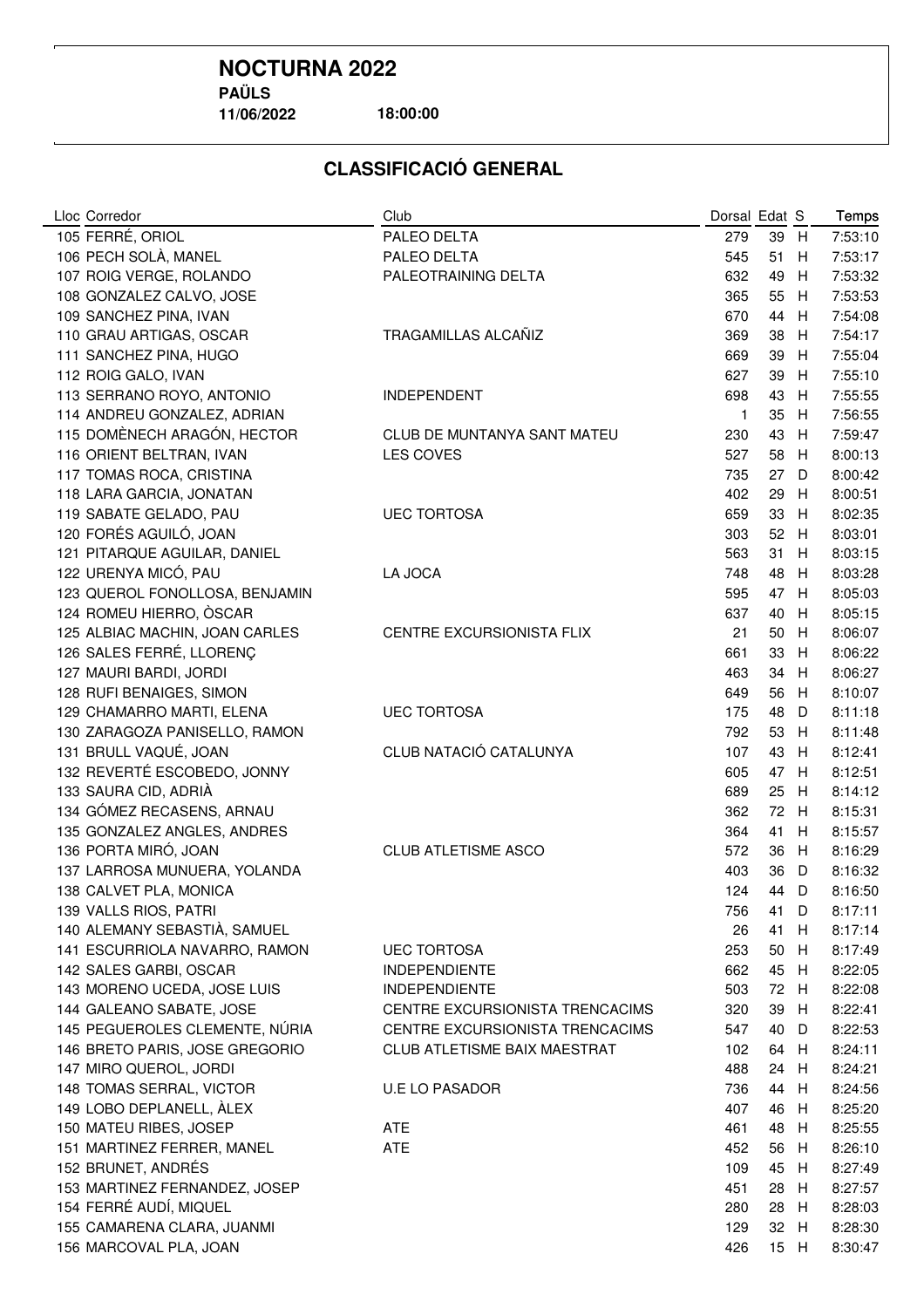**11/06/2022**

**18:00:00**

| Lloc Corredor                  | Club                                                            | Dorsal Edat S |          |        | Temps              |
|--------------------------------|-----------------------------------------------------------------|---------------|----------|--------|--------------------|
| 105 FERRÉ, ORIOL               | PALEO DELTA                                                     | 279           | 39       | H      | 7:53:10            |
| 106 PECH SOLÀ, MANEL           | PALEO DELTA                                                     | 545           | 51       | H      | 7:53:17            |
| 107 ROIG VERGE, ROLANDO        | PALEOTRAINING DELTA                                             | 632           | 49       | H      | 7:53:32            |
| 108 GONZALEZ CALVO, JOSE       |                                                                 | 365           | 55       | H      | 7:53:53            |
| 109 SANCHEZ PINA, IVAN         |                                                                 | 670           | 44       | H      | 7:54:08            |
| 110 GRAU ARTIGAS, OSCAR        | TRAGAMILLAS ALCAÑIZ                                             | 369           | 38       | H      | 7:54:17            |
| 111 SANCHEZ PINA, HUGO         |                                                                 | 669           | 39       | H      | 7:55:04            |
| 112 ROIG GALO, IVAN            |                                                                 | 627           | 39       | H      | 7:55:10            |
| 113 SERRANO ROYO, ANTONIO      | <b>INDEPENDENT</b>                                              | 698           | 43       | H      | 7:55:55            |
| 114 ANDREU GONZALEZ, ADRIAN    |                                                                 | $\mathbf{1}$  | 35       | H      | 7:56:55            |
| 115 DOMÈNECH ARAGÓN, HECTOR    | CLUB DE MUNTANYA SANT MATEU                                     | 230           | 43       | H      | 7:59:47            |
| 116 ORIENT BELTRAN, IVAN       | LES COVES                                                       | 527           | 58       | H      | 8:00:13            |
| 117 TOMAS ROCA, CRISTINA       |                                                                 | 735           | 27       | D      | 8:00:42            |
| 118 LARA GARCIA, JONATAN       |                                                                 | 402           | 29       | H      | 8:00:51            |
| 119 SABATE GELADO, PAU         | <b>UEC TORTOSA</b>                                              | 659           | 33       | H      | 8:02:35            |
| 120 FORÉS AGUILÓ, JOAN         |                                                                 | 303           | 52       | H      | 8:03:01            |
| 121 PITARQUE AGUILAR, DANIEL   |                                                                 | 563           | 31       | H      | 8:03:15            |
| 122 URENYA MICÓ, PAU           | LA JOCA                                                         | 748           | 48       | H      | 8:03:28            |
| 123 QUEROL FONOLLOSA, BENJAMIN |                                                                 | 595           | 47       | H      | 8:05:03            |
| 124 ROMEU HIERRO, ÒSCAR        |                                                                 | 637           | 40       | H      | 8:05:15            |
| 125 ALBIAC MACHIN, JOAN CARLES | CENTRE EXCURSIONISTA FLIX                                       | 21            | 50       | H      | 8:06:07            |
| 126 SALES FERRÉ, LLORENÇ       |                                                                 | 661           | 33       | H      | 8:06:22            |
| 127 MAURI BARDI, JORDI         |                                                                 | 463           | 34       | H      | 8:06:27            |
| 128 RUFI BENAIGES, SIMON       |                                                                 | 649           | 56       | H      | 8:10:07            |
| 129 CHAMARRO MARTI, ELENA      | <b>UEC TORTOSA</b>                                              | 175           | 48       | D      | 8:11:18            |
| 130 ZARAGOZA PANISELLO, RAMON  |                                                                 | 792           | 53       | H      | 8:11:48            |
| 131 BRULL VAQUÉ, JOAN          | CLUB NATACIÓ CATALUNYA                                          | 107           | 43       | H      | 8:12:41            |
| 132 REVERTÉ ESCOBEDO, JONNY    |                                                                 | 605           | 47       | H      | 8:12:51            |
| 133 SAURA CID, ADRIÀ           |                                                                 | 689           | 25       | H      | 8:14:12            |
| 134 GÓMEZ RECASENS, ARNAU      |                                                                 | 362           | 72       | H      | 8:15:31            |
| 135 GONZALEZ ANGLES, ANDRES    |                                                                 | 364           | 41       | H      | 8:15:57            |
| 136 PORTA MIRÓ, JOAN           | <b>CLUB ATLETISME ASCO</b>                                      | 572           | 36       | H      | 8:16:29            |
| 137 LARROSA MUNUERA, YOLANDA   |                                                                 | 403           | 36       | D      | 8:16:32            |
| 138 CALVET PLA, MONICA         |                                                                 | 124           | 44       | D      | 8:16:50            |
| 139 VALLS RIOS, PATRI          |                                                                 | 756           | 41       | D      | 8:17:11            |
| 140 ALEMANY SEBASTIÀ, SAMUEL   |                                                                 | 26            | 41       | H      | 8:17:14            |
| 141 ESCURRIOLA NAVARRO, RAMON  | <b>UEC TORTOSA</b>                                              | 253           | 50       | H      | 8:17:49            |
| 142 SALES GARBI, OSCAR         | <b>INDEPENDIENTE</b>                                            | 662           | 45       | H      | 8:22:05            |
| 143 MORENO UCEDA, JOSE LUIS    | <b>INDEPENDIENTE</b>                                            | 503           | 72       | H      | 8:22:08            |
| 144 GALEANO SABATE, JOSE       | CENTRE EXCURSIONISTA TRENCACIMS                                 | 320           | 39       | H      | 8:22:41            |
| 145 PEGUEROLES CLEMENTE, NÚRIA |                                                                 |               |          |        |                    |
| 146 BRETO PARIS, JOSE GREGORIO | CENTRE EXCURSIONISTA TRENCACIMS<br>CLUB ATLETISME BAIX MAESTRAT | 547           | 40<br>64 | D<br>H | 8:22:53<br>8:24:11 |
| 147 MIRO QUEROL, JORDI         |                                                                 | 102<br>488    |          | H      | 8:24:21            |
| 148 TOMAS SERRAL, VICTOR       |                                                                 |               | 24       |        |                    |
|                                | <b>U.E LO PASADOR</b>                                           | 736           | 44       | H      | 8:24:56            |
| 149 LOBO DEPLANELL, ALEX       |                                                                 | 407           | 46       | H      | 8:25:20            |
| 150 MATEU RIBES, JOSEP         | <b>ATE</b><br>ATE                                               | 461           | 48       | H      | 8:25:55            |
| 151 MARTINEZ FERRER, MANEL     |                                                                 | 452           | 56       | H      | 8:26:10            |
| 152 BRUNET, ANDRÉS             |                                                                 | 109           | 45       | H      | 8:27:49            |
| 153 MARTINEZ FERNANDEZ, JOSEP  |                                                                 | 451           | 28       | H      | 8:27:57            |
| 154 FERRÉ AUDÍ, MIQUEL         |                                                                 | 280           | 28       | H      | 8:28:03            |
| 155 CAMARENA CLARA, JUANMI     |                                                                 | 129           | 32 H     |        | 8:28:30            |
| 156 MARCOVAL PLA, JOAN         |                                                                 | 426           | 15 H     |        | 8:30:47            |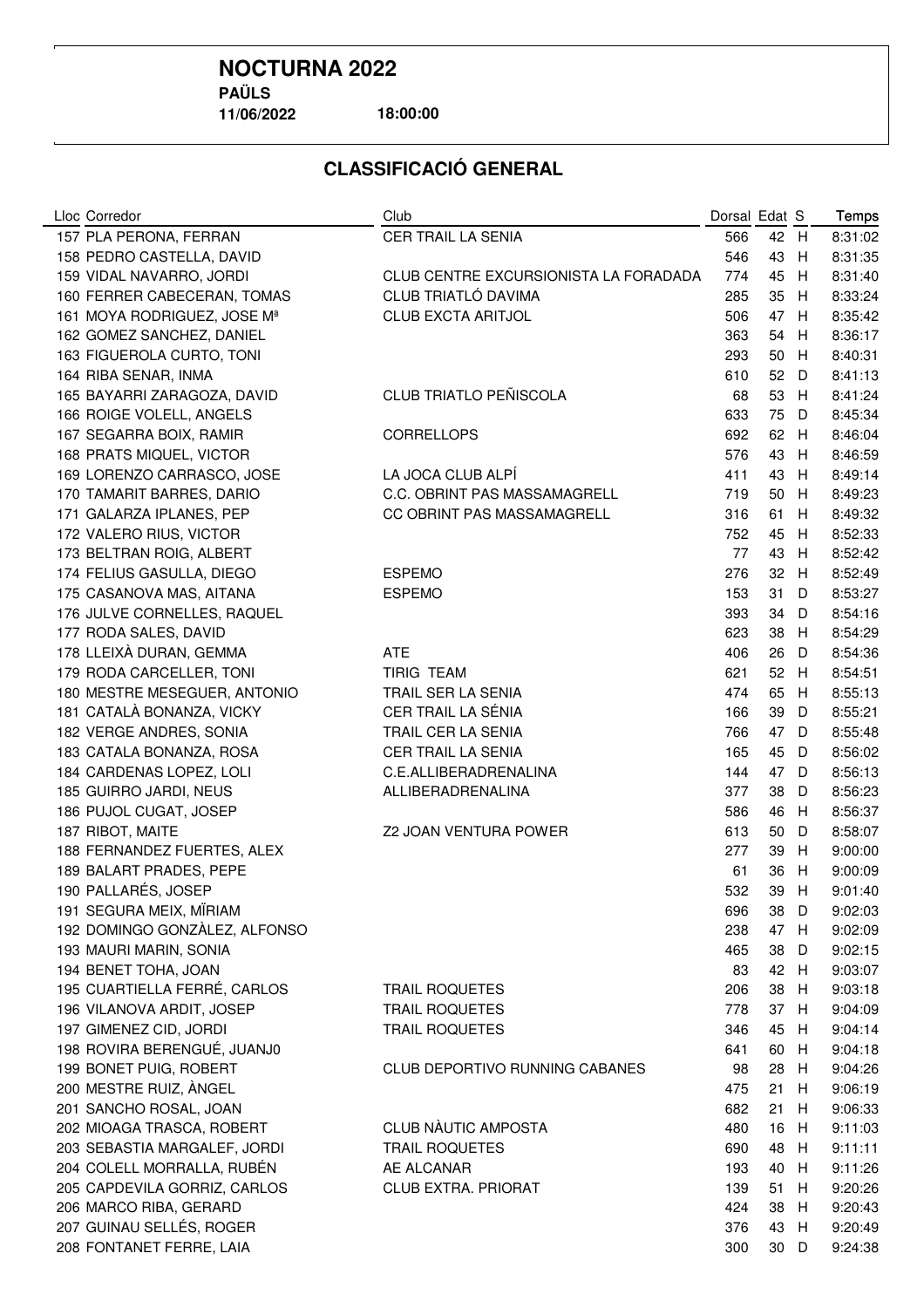**11/06/2022**

**18:00:00**

| Lloc Corredor                 | Club                                  | Dorsal Edat S |      |     | Temps              |
|-------------------------------|---------------------------------------|---------------|------|-----|--------------------|
| 157 PLA PERONA, FERRAN        | <b>CER TRAIL LA SENIA</b>             | 566           | 42   | H   | 8:31:02            |
| 158 PEDRO CASTELLA, DAVID     |                                       | 546           | 43   | H   | 8:31:35            |
| 159 VIDAL NAVARRO, JORDI      | CLUB CENTRE EXCURSIONISTA LA FORADADA | 774           | 45   | H   | 8:31:40            |
| 160 FERRER CABECERAN, TOMAS   | CLUB TRIATLÓ DAVIMA                   | 285           | 35   | H   | 8:33:24            |
| 161 MOYA RODRIGUEZ, JOSE Mª   | <b>CLUB EXCTA ARITJOL</b>             | 506           | 47   | H   | 8:35:42            |
| 162 GOMEZ SANCHEZ, DANIEL     |                                       | 363           | 54   | H   | 8:36:17            |
| 163 FIGUEROLA CURTO, TONI     |                                       | 293           | 50   | H   | 8:40:31            |
| 164 RIBA SENAR, INMA          |                                       | 610           | 52   | D   | 8:41:13            |
| 165 BAYARRI ZARAGOZA, DAVID   | <b>CLUB TRIATLO PEÑISCOLA</b>         | 68            | 53   | H   | 8:41:24            |
| 166 ROIGE VOLELL, ANGELS      |                                       | 633           | 75   | D   | 8:45:34            |
| 167 SEGARRA BOIX, RAMIR       | <b>CORRELLOPS</b>                     | 692           | 62   | H   | 8:46:04            |
| 168 PRATS MIQUEL, VICTOR      |                                       | 576           | 43   | H   | 8:46:59            |
| 169 LORENZO CARRASCO, JOSE    | LA JOCA CLUB ALPI                     | 411           | 43   | H   | 8:49:14            |
| 170 TAMARIT BARRES, DARIO     | C.C. OBRINT PAS MASSAMAGRELL          | 719           | 50   | H   | 8:49:23            |
| 171 GALARZA IPLANES, PEP      | CC OBRINT PAS MASSAMAGRELL            | 316           | 61   | H   | 8:49:32            |
| 172 VALERO RIUS, VICTOR       |                                       | 752           | 45   | H   | 8:52:33            |
| 173 BELTRAN ROIG, ALBERT      |                                       | 77            | 43   | H   | 8:52:42            |
| 174 FELIUS GASULLA, DIEGO     | <b>ESPEMO</b>                         | 276           | 32   | H   | 8:52:49            |
| 175 CASANOVA MAS, AITANA      | <b>ESPEMO</b>                         | 153           | 31   | D   | 8:53:27            |
| 176 JULVE CORNELLES, RAQUEL   |                                       | 393           | 34   | D   | 8:54:16            |
| 177 RODA SALES, DAVID         |                                       | 623           | 38   | H   | 8:54:29            |
| 178 LLEIXÀ DURAN, GEMMA       | <b>ATE</b>                            | 406           | 26   | D   | 8:54:36            |
| 179 RODA CARCELLER, TONI      | <b>TIRIG TEAM</b>                     | 621           | 52 H |     | 8:54:51            |
| 180 MESTRE MESEGUER, ANTONIO  | TRAIL SER LA SENIA                    | 474           | 65   | H   | 8:55:13            |
| 181 CATALÀ BONANZA, VICKY     | CER TRAIL LA SÉNIA                    | 166           | 39   | D   | 8:55:21            |
| 182 VERGE ANDRES, SONIA       | TRAIL CER LA SENIA                    | 766           | 47   | D   | 8:55:48            |
| 183 CATALA BONANZA, ROSA      | CER TRAIL LA SENIA                    | 165           | 45   | D   | 8:56:02            |
| 184 CARDENAS LOPEZ, LOLI      | C.E.ALLIBERADRENALINA                 | 144           | 47   | D   | 8:56:13            |
| 185 GUIRRO JARDI, NEUS        | ALLIBERADRENALINA                     | 377           | 38   | D   | 8:56:23            |
| 186 PUJOL CUGAT, JOSEP        |                                       | 586           | 46   | H   | 8:56:37            |
| 187 RIBOT, MAITE              | Z2 JOAN VENTURA POWER                 | 613           | 50   | D   | 8:58:07            |
| 188 FERNANDEZ FUERTES, ALEX   |                                       | 277           | 39   | H   | 9:00:00            |
| 189 BALART PRADES, PEPE       |                                       | 61            | 36   | H   | 9:00:09            |
| 190 PALLARÉS, JOSEP           |                                       | 532           | 39   | Н   | 9:01:40            |
| 191 SEGURA MEIX, MIRIAM       |                                       | 696           | 38 D |     | 9:02:03            |
| 192 DOMINGO GONZÀLEZ, ALFONSO |                                       | 238           | 47 H |     | 9:02:09            |
| 193 MAURI MARIN, SONIA        |                                       | 465           | 38   | D   | 9:02:15            |
| 194 BENET TOHA, JOAN          |                                       | 83            | 42   | - H | 9:03:07            |
| 195 CUARTIELLA FERRÉ, CARLOS  | <b>TRAIL ROQUETES</b>                 | 206           | 38   | H   | 9:03:18            |
| 196 VILANOVA ARDIT, JOSEP     | <b>TRAIL ROQUETES</b>                 | 778           | 37   | H   | 9:04:09            |
| 197 GIMENEZ CID, JORDI        |                                       |               |      |     |                    |
| 198 ROVIRA BERENGUÉ, JUANJ0   | <b>TRAIL ROQUETES</b>                 | 346<br>641    | 45   | H   | 9:04:14<br>9:04:18 |
| 199 BONET PUIG, ROBERT        |                                       |               | 60   | H   | 9:04:26            |
|                               | CLUB DEPORTIVO RUNNING CABANES        | 98            | 28   | H   |                    |
| 200 MESTRE RUIZ, ANGEL        |                                       | 475           | 21   | H   | 9:06:19            |
| 201 SANCHO ROSAL, JOAN        |                                       | 682           | 21   | H   | 9:06:33            |
| 202 MIOAGA TRASCA, ROBERT     | CLUB NÀUTIC AMPOSTA                   | 480           | 16   | H   | 9:11:03            |
| 203 SEBASTIA MARGALEF, JORDI  | <b>TRAIL ROQUETES</b>                 | 690           | 48   | H   | 9:11:11            |
| 204 COLELL MORRALLA, RUBÉN    | AE ALCANAR                            | 193           | 40   | H   | 9:11:26            |
| 205 CAPDEVILA GORRIZ, CARLOS  | <b>CLUB EXTRA. PRIORAT</b>            | 139           | 51   | H   | 9:20:26            |
| 206 MARCO RIBA, GERARD        |                                       | 424           | 38   | H   | 9:20:43            |
| 207 GUINAU SELLÉS, ROGER      |                                       | 376           | 43   | H   | 9:20:49            |
| 208 FONTANET FERRE, LAIA      |                                       | 300           | 30 D |     | 9:24:38            |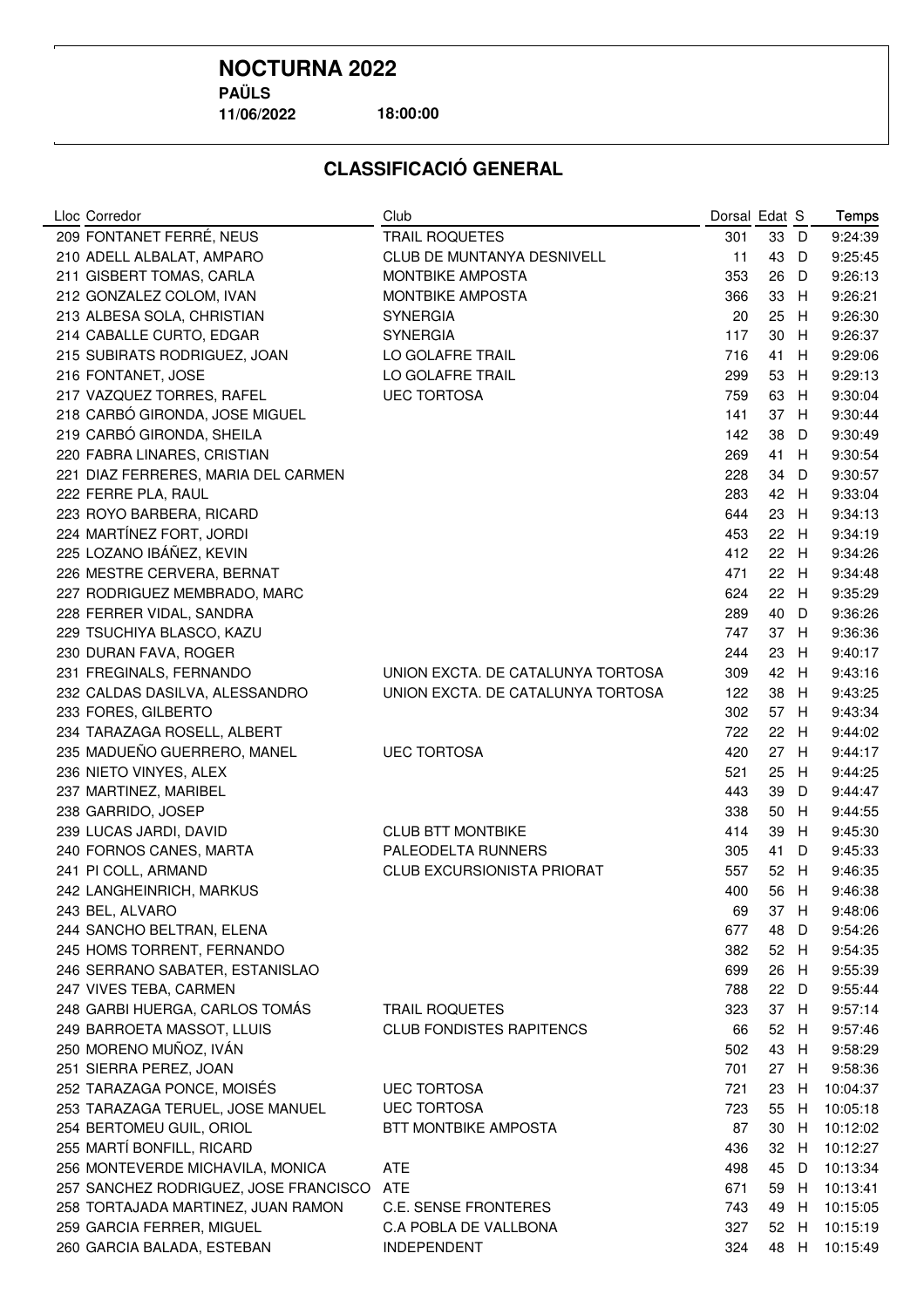# **NOCTURNA 2022**

**PAÜLS**

**11/06/2022**

**18:00:00**

| Lloc Corredor                         | Club                              | Dorsal Edat S |      |      | Temps    |
|---------------------------------------|-----------------------------------|---------------|------|------|----------|
| 209 FONTANET FERRÉ, NEUS              | <b>TRAIL ROQUETES</b>             | 301           | 33   | - D  | 9:24:39  |
| 210 ADELL ALBALAT, AMPARO             | CLUB DE MUNTANYA DESNIVELL        | 11            | 43   | D    | 9:25:45  |
| 211 GISBERT TOMAS, CARLA              | <b>MONTBIKE AMPOSTA</b>           | 353           | 26   | D    | 9:26:13  |
| 212 GONZALEZ COLOM, IVAN              | <b>MONTBIKE AMPOSTA</b>           | 366           | 33   | H    | 9:26:21  |
| 213 ALBESA SOLA, CHRISTIAN            | <b>SYNERGIA</b>                   | 20            | 25   | H    | 9:26:30  |
| 214 CABALLE CURTO, EDGAR              | <b>SYNERGIA</b>                   | 117           | 30   | H    | 9:26:37  |
| 215 SUBIRATS RODRIGUEZ, JOAN          | LO GOLAFRE TRAIL                  | 716           | 41   | H    | 9:29:06  |
| 216 FONTANET, JOSE                    | LO GOLAFRE TRAIL                  | 299           | 53   | H    | 9:29:13  |
| 217 VAZQUEZ TORRES, RAFEL             | <b>UEC TORTOSA</b>                | 759           | 63   | H    | 9:30:04  |
| 218 CARBÓ GIRONDA, JOSE MIGUEL        |                                   | 141           | 37   | -H   | 9:30:44  |
| 219 CARBÓ GIRONDA, SHEILA             |                                   | 142           | 38   | D    | 9:30:49  |
| 220 FABRA LINARES, CRISTIAN           |                                   | 269           | 41   | H    | 9:30:54  |
| 221 DIAZ FERRERES, MARIA DEL CARMEN   |                                   | 228           | 34   | D    | 9:30:57  |
| 222 FERRE PLA, RAUL                   |                                   | 283           | 42 H |      | 9:33:04  |
| 223 ROYO BARBERA, RICARD              |                                   | 644           | 23   | H    | 9:34:13  |
| 224 MARTÍNEZ FORT, JORDI              |                                   | 453           | 22   | H    | 9:34:19  |
| 225 LOZANO IBÁÑEZ, KEVIN              |                                   | 412           | 22   | - H  | 9:34:26  |
| 226 MESTRE CERVERA, BERNAT            |                                   | 471           | 22   | H    | 9:34:48  |
| 227 RODRIGUEZ MEMBRADO, MARC          |                                   | 624           | 22   | H    | 9:35:29  |
| 228 FERRER VIDAL, SANDRA              |                                   | 289           | 40   | D    | 9:36:26  |
| 229 TSUCHIYA BLASCO, KAZU             |                                   | 747           | 37 H |      | 9:36:36  |
| 230 DURAN FAVA, ROGER                 |                                   | 244           | 23   | H    | 9:40:17  |
| 231 FREGINALS, FERNANDO               | UNION EXCTA. DE CATALUNYA TORTOSA | 309           | 42   | H    | 9:43:16  |
| 232 CALDAS DASILVA, ALESSANDRO        | UNION EXCTA. DE CATALUNYA TORTOSA | 122           | 38   | H    | 9:43:25  |
| 233 FORES, GILBERTO                   |                                   | 302           | 57   | - H  | 9:43:34  |
| 234 TARAZAGA ROSELL, ALBERT           |                                   | 722           | 22   | - H  | 9:44:02  |
| 235 MADUEÑO GUERRERO, MANEL           | <b>UEC TORTOSA</b>                | 420           | 27   | -H   | 9:44:17  |
| 236 NIETO VINYES, ALEX                |                                   | 521           | 25   | H    | 9:44:25  |
| 237 MARTINEZ, MARIBEL                 |                                   | 443           | 39   | D    | 9:44:47  |
| 238 GARRIDO, JOSEP                    |                                   | 338           | 50   | -H   | 9:44:55  |
| 239 LUCAS JARDI, DAVID                | <b>CLUB BTT MONTBIKE</b>          | 414           | 39   | H    | 9:45:30  |
| 240 FORNOS CANES, MARTA               | PALEODELTA RUNNERS                | 305           | 41   | D    | 9:45:33  |
| 241 PI COLL, ARMAND                   | <b>CLUB EXCURSIONISTA PRIORAT</b> | 557           | 52   | -H   | 9:46:35  |
| 242 LANGHEINRICH, MARKUS              |                                   | 400           | 56   | H    | 9:46:38  |
| 243 BEL, ALVARO                       |                                   | 69            | 37   | H    | 9:48:06  |
| 244 SANCHO BELTRAN, ELENA             |                                   | 677           | 48   | D    | 9:54:26  |
| 245 HOMS TORRENT, FERNANDO            |                                   | 382           | 52 H |      | 9:54:35  |
| 246 SERRANO SABATER, ESTANISLAO       |                                   | 699           | 26   | - H  | 9:55:39  |
| 247 VIVES TEBA, CARMEN                |                                   | 788           | 22   | - D  | 9:55:44  |
| 248 GARBI HUERGA, CARLOS TOMÁS        | <b>TRAIL ROQUETES</b>             | 323           | 37 H |      | 9:57:14  |
| 249 BARROETA MASSOT, LLUIS            | <b>CLUB FONDISTES RAPITENCS</b>   | 66            | 52   | - H  | 9:57:46  |
| 250 MORENO MUÑOZ, IVÁN                |                                   | 502           | 43   | H    | 9:58:29  |
| 251 SIERRA PEREZ, JOAN                |                                   | 701           | 27   | H    | 9:58:36  |
| 252 TARAZAGA PONCE, MOISÉS            | <b>UEC TORTOSA</b>                | 721           | 23   | H    | 10:04:37 |
| 253 TARAZAGA TERUEL, JOSE MANUEL      | <b>UEC TORTOSA</b>                | 723           | 55   | H    | 10:05:18 |
| 254 BERTOMEU GUIL, ORIOL              | <b>BTT MONTBIKE AMPOSTA</b>       | 87            | 30   | H    | 10:12:02 |
| 255 MARTÍ BONFILL, RICARD             |                                   | 436           | 32   | H    | 10:12:27 |
| 256 MONTEVERDE MICHAVILA, MONICA      | <b>ATE</b>                        | 498           | 45   | D    | 10:13:34 |
| 257 SANCHEZ RODRIGUEZ, JOSE FRANCISCO | <b>ATE</b>                        | 671           | 59   | H    | 10:13:41 |
| 258 TORTAJADA MARTINEZ, JUAN RAMON    | <b>C.E. SENSE FRONTERES</b>       | 743           | 49   | H    | 10:15:05 |
| 259 GARCIA FERRER, MIGUEL             | C.A POBLA DE VALLBONA             | 327           | 52   | H    | 10:15:19 |
| 260 GARCIA BALADA, ESTEBAN            | INDEPENDENT                       | 324           |      | 48 H | 10:15:49 |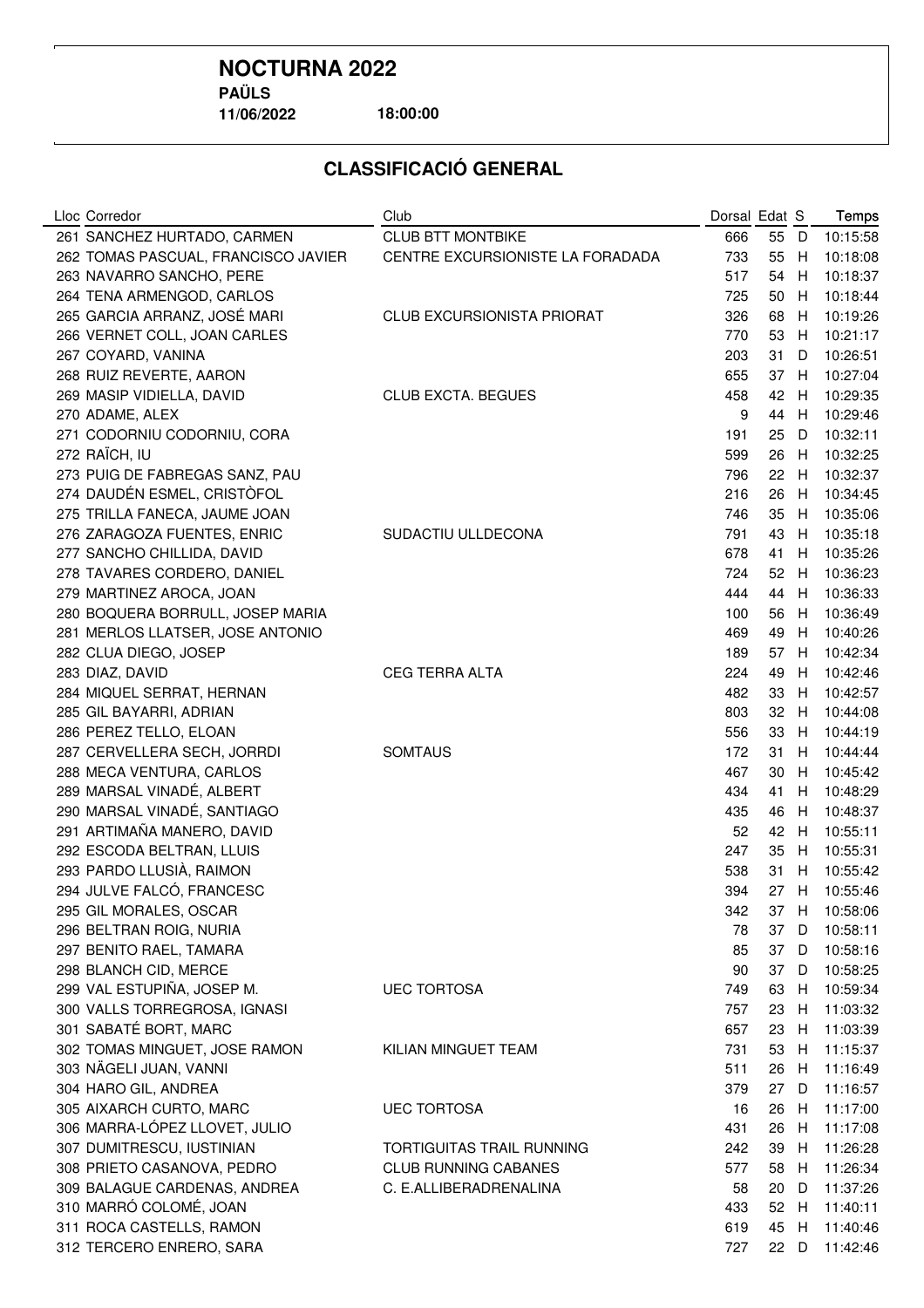**11/06/2022**

**18:00:00**

| Lloc Corredor                       | Club                             | Dorsal Edat S |    |   | Temps    |
|-------------------------------------|----------------------------------|---------------|----|---|----------|
| 261 SANCHEZ HURTADO, CARMEN         | <b>CLUB BTT MONTBIKE</b>         | 666           | 55 | D | 10:15:58 |
| 262 TOMAS PASCUAL, FRANCISCO JAVIER | CENTRE EXCURSIONISTE LA FORADADA | 733           | 55 | H | 10:18:08 |
| 263 NAVARRO SANCHO, PERE            |                                  | 517           | 54 | н | 10:18:37 |
| 264 TENA ARMENGOD, CARLOS           |                                  | 725           | 50 | н | 10:18:44 |
| 265 GARCIA ARRANZ, JOSÉ MARI        | CLUB EXCURSIONISTA PRIORAT       | 326           | 68 | Н | 10:19:26 |
| 266 VERNET COLL, JOAN CARLES        |                                  | 770           | 53 | H | 10:21:17 |
| 267 COYARD, VANINA                  |                                  | 203           | 31 | D | 10:26:51 |
| 268 RUIZ REVERTE, AARON             |                                  | 655           | 37 | H | 10:27:04 |
| 269 MASIP VIDIELLA, DAVID           | <b>CLUB EXCTA. BEGUES</b>        | 458           | 42 | H | 10:29:35 |
| 270 ADAME, ALEX                     |                                  | 9             | 44 | H | 10:29:46 |
| 271 CODORNIU CODORNIU, CORA         |                                  | 191           | 25 | D | 10:32:11 |
| 272 RAÏCH, IU                       |                                  | 599           | 26 | H | 10:32:25 |
| 273 PUIG DE FABREGAS SANZ, PAU      |                                  | 796           | 22 | H | 10:32:37 |
| 274 DAUDÉN ESMEL, CRISTÒFOL         |                                  | 216           | 26 | H | 10:34:45 |
| 275 TRILLA FANECA, JAUME JOAN       |                                  | 746           | 35 | H | 10:35:06 |
| 276 ZARAGOZA FUENTES, ENRIC         | SUDACTIU ULLDECONA               | 791           | 43 | H | 10:35:18 |
| 277 SANCHO CHILLIDA, DAVID          |                                  | 678           | 41 | H | 10:35:26 |
| 278 TAVARES CORDERO, DANIEL         |                                  | 724           | 52 | H | 10:36:23 |
| 279 MARTINEZ AROCA, JOAN            |                                  | 444           | 44 | H | 10:36:33 |
| 280 BOQUERA BORRULL, JOSEP MARIA    |                                  | 100           | 56 | H | 10:36:49 |
| 281 MERLOS LLATSER, JOSE ANTONIO    |                                  | 469           | 49 | H | 10:40:26 |
| 282 CLUA DIEGO, JOSEP               |                                  | 189           | 57 | H | 10:42:34 |
| 283 DIAZ, DAVID                     | <b>CEG TERRA ALTA</b>            | 224           | 49 | H | 10:42:46 |
| 284 MIQUEL SERRAT, HERNAN           |                                  | 482           | 33 | H | 10:42:57 |
| 285 GIL BAYARRI, ADRIAN             |                                  | 803           | 32 | H | 10:44:08 |
| 286 PEREZ TELLO, ELOAN              |                                  | 556           | 33 | H | 10:44:19 |
| 287 CERVELLERA SECH, JORRDI         | <b>SOMTAUS</b>                   | 172           | 31 | H | 10:44:44 |
| 288 MECA VENTURA, CARLOS            |                                  | 467           | 30 | H | 10:45:42 |
| 289 MARSAL VINADÉ, ALBERT           |                                  | 434           | 41 | H | 10:48:29 |
| 290 MARSAL VINADÉ, SANTIAGO         |                                  | 435           | 46 | H | 10:48:37 |
| 291 ARTIMAÑA MANERO, DAVID          |                                  | 52            | 42 | H | 10:55:11 |
| 292 ESCODA BELTRAN, LLUIS           |                                  | 247           | 35 | H | 10:55:31 |
| 293 PARDO LLUSIÀ, RAIMON            |                                  | 538           | 31 | H | 10:55:42 |
| 294 JULVE FALCÓ, FRANCESC           |                                  | 394           | 27 | н | 10:55:46 |
| 295 GIL MORALES, OSCAR              |                                  | 342           | 37 | H | 10:58:06 |
| 296 BELTRAN ROIG, NURIA             |                                  | 78            | 37 | D | 10:58:11 |
| 297 BENITO RAEL, TAMARA             |                                  | 85            | 37 | D | 10:58:16 |
| 298 BLANCH CID, MERCE               |                                  | 90            | 37 | D | 10:58:25 |
| 299 VAL ESTUPIÑA, JOSEP M.          | <b>UEC TORTOSA</b>               | 749           | 63 | H | 10:59:34 |
| 300 VALLS TORREGROSA, IGNASI        |                                  |               |    |   |          |
|                                     |                                  | 757           | 23 | H | 11:03:32 |
| 301 SABATÉ BORT, MARC               |                                  | 657           | 23 | H | 11:03:39 |
| 302 TOMAS MINGUET, JOSE RAMON       | KILIAN MINGUET TEAM              | 731           | 53 | H | 11:15:37 |
| 303 NÄGELI JUAN, VANNI              |                                  | 511           | 26 | H | 11:16:49 |
| 304 HARO GIL, ANDREA                |                                  | 379           | 27 | D | 11:16:57 |
| 305 AIXARCH CURTO, MARC             | <b>UEC TORTOSA</b>               | 16            | 26 | H | 11:17:00 |
| 306 MARRA-LÓPEZ LLOVET, JULIO       |                                  | 431           | 26 | H | 11:17:08 |
| 307 DUMITRESCU, IUSTINIAN           | TORTIGUITAS TRAIL RUNNING        | 242           | 39 | H | 11:26:28 |
| 308 PRIETO CASANOVA, PEDRO          | <b>CLUB RUNNING CABANES</b>      | 577           | 58 | H | 11:26:34 |
| 309 BALAGUE CARDENAS, ANDREA        | C. E.ALLIBERADRENALINA           | 58            | 20 | D | 11:37:26 |
| 310 MARRÓ COLOMÉ, JOAN              |                                  | 433           | 52 | H | 11:40:11 |
| 311 ROCA CASTELLS, RAMON            |                                  | 619           | 45 | H | 11:40:46 |
| 312 TERCERO ENRERO, SARA            |                                  | 727           | 22 | D | 11:42:46 |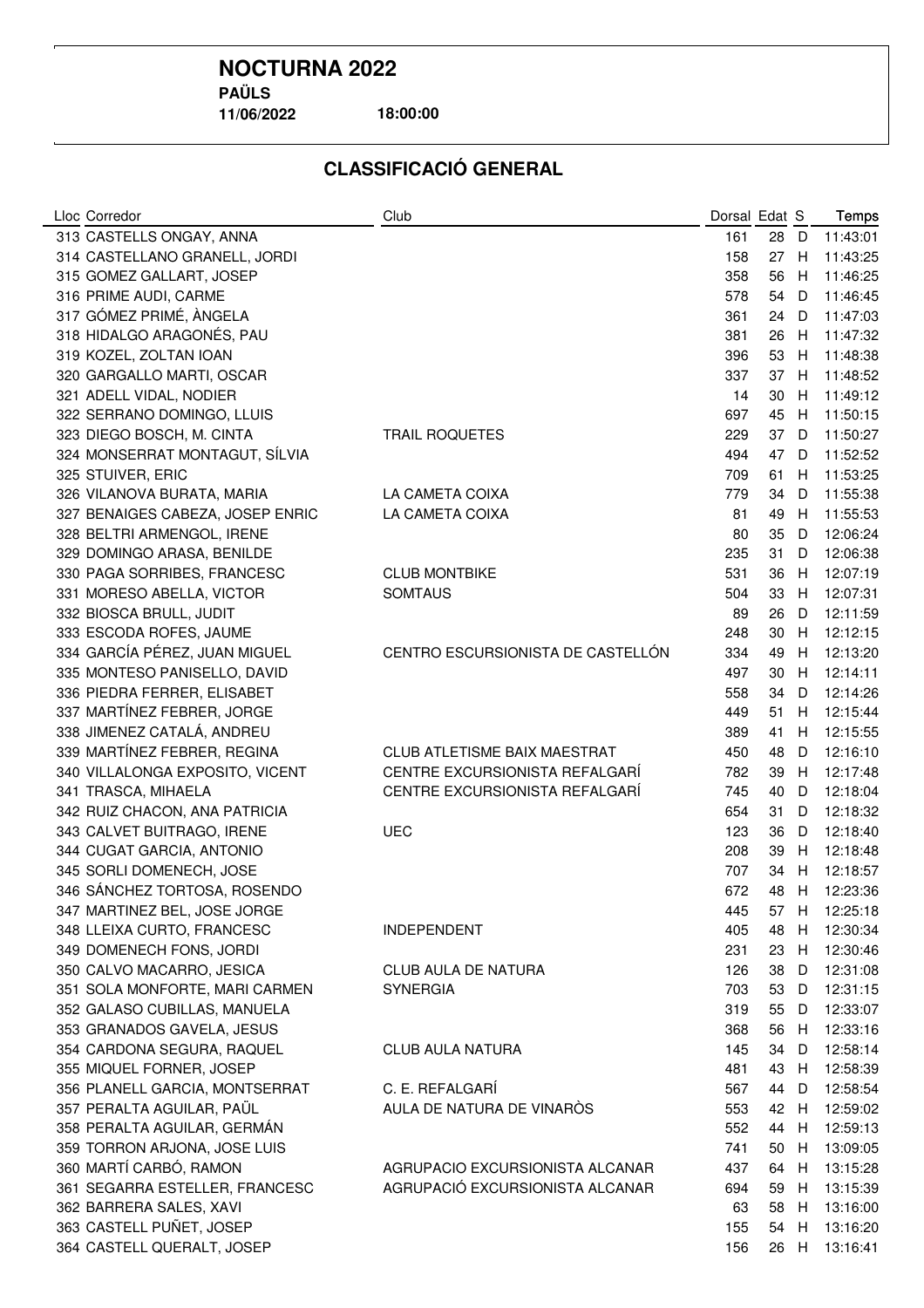**11/06/2022**

**18:00:00**

| 313 CASTELLS ONGAY, ANNA<br>161<br>28<br>$\mathsf{D}$<br>11:43:01<br>314 CASTELLANO GRANELL, JORDI<br>158<br>27<br>11:43:25<br>H<br>315 GOMEZ GALLART, JOSEP<br>358<br>56<br>11:46:25<br>H<br>316 PRIME AUDI, CARME<br>578<br>54<br>11:46:45<br>D<br>317 GÓMEZ PRIMÉ, ÀNGELA<br>11:47:03<br>361<br>24<br>D<br>318 HIDALGO ARAGONÉS, PAU<br>11:47:32<br>381<br>26<br>H<br>319 KOZEL, ZOLTAN IOAN<br>53<br>11:48:38<br>396<br>H<br>320 GARGALLO MARTI, OSCAR<br>337<br>37<br>11:48:52<br>H<br>321 ADELL VIDAL, NODIER<br>14<br>30<br>11:49:12<br>H<br>697<br>45<br>11:50:15<br>322 SERRANO DOMINGO, LLUIS<br>H<br>323 DIEGO BOSCH, M. CINTA<br>229<br>37<br>11:50:27<br><b>TRAIL ROQUETES</b><br>- D<br>324 MONSERRAT MONTAGUT, SÍLVIA<br>494<br>47<br>11:52:52<br>D<br>325 STUIVER, ERIC<br>709<br>11:53:25<br>61<br>H<br>LA CAMETA COIXA<br>779<br>34<br>11:55:38<br>326 VILANOVA BURATA, MARIA<br>D<br>327 BENAIGES CABEZA, JOSEP ENRIC<br>LA CAMETA COIXA<br>49<br>81<br>H<br>11:55:53<br>80<br>35<br>12:06:24<br>328 BELTRI ARMENGOL, IRENE<br>D<br>235<br>31<br>12:06:38<br>329 DOMINGO ARASA, BENILDE<br>D<br>330 PAGA SORRIBES, FRANCESC<br><b>CLUB MONTBIKE</b><br>531<br>36<br>H<br>12:07:19<br>12:07:31<br>331 MORESO ABELLA, VICTOR<br><b>SOMTAUS</b><br>33<br>504<br>H<br>12:11:59<br>332 BIOSCA BRULL, JUDIT<br>89<br>26<br>D<br>333 ESCODA ROFES, JAUME<br>248<br>30<br>12:12:15<br>H<br>334 GARCÍA PÉREZ, JUAN MIGUEL<br>CENTRO ESCURSIONISTA DE CASTELLÓN<br>334<br>49<br>12:13:20<br>H<br>335 MONTESO PANISELLO, DAVID<br>12:14:11<br>497<br>30<br>H<br>336 PIEDRA FERRER, ELISABET<br>12:14:26<br>34<br>558<br>D<br>337 MARTÍNEZ FEBRER, JORGE<br>51<br>12:15:44<br>449<br>H<br>338 JIMENEZ CATALÁ, ANDREU<br>389<br>41<br>12:15:55<br>Н<br>339 MARTÍNEZ FEBRER, REGINA<br><b>CLUB ATLETISME BAIX MAESTRAT</b><br>48<br>12:16:10<br>450<br>D<br>CENTRE EXCURSIONISTA REFALGARÍ<br>340 VILLALONGA EXPOSITO, VICENT<br>782<br>39<br>12:17:48<br>H<br>CENTRE EXCURSIONISTA REFALGARÍ<br>745<br>40<br>12:18:04<br>341 TRASCA, MIHAELA<br>D<br>342 RUIZ CHACON, ANA PATRICIA<br>654<br>31<br>12:18:32<br>D<br>343 CALVET BUITRAGO, IRENE<br><b>UEC</b><br>36<br>123<br>D<br>12:18:40<br>344 CUGAT GARCIA, ANTONIO<br>39<br>12:18:48<br>208<br>H<br>345 SORLI DOMENECH, JOSE<br>707<br>34<br>12:18:57<br>H<br>346 SÁNCHEZ TORTOSA, ROSENDO<br>672<br>48<br>12:23:36<br>H<br>347 MARTINEZ BEL, JOSE JORGE<br>12:25:18<br>445<br>57 H<br>348 LLEIXA CURTO, FRANCESC<br>405<br>48<br>12:30:34<br><b>INDEPENDENT</b><br>H<br>349 DOMENECH FONS, JORDI<br>12:30:46<br>231<br>23<br>H.<br>350 CALVO MACARRO, JESICA<br>CLUB AULA DE NATURA<br>38<br>12:31:08<br>126<br>D<br>351 SOLA MONFORTE, MARI CARMEN<br><b>SYNERGIA</b><br>53<br>12:31:15<br>703<br>D<br>352 GALASO CUBILLAS, MANUELA<br>55<br>12:33:07<br>319<br>D<br>353 GRANADOS GAVELA, JESUS<br>12:33:16<br>56<br>368<br>H<br>354 CARDONA SEGURA, RAQUEL<br><b>CLUB AULA NATURA</b><br>34<br>12:58:14<br>145<br>D<br>355 MIQUEL FORNER, JOSEP<br>12:58:39<br>481<br>43<br>H<br>356 PLANELL GARCIA, MONTSERRAT<br>C. E. REFALGARÍ<br>12:58:54<br>567<br>44<br>D<br>357 PERALTA AGUILAR, PAÜL<br>AULA DE NATURA DE VINAROS<br>42<br>12:59:02<br>553<br>H<br>358 PERALTA AGUILAR, GERMÁN<br>552<br>12:59:13<br>44<br>H | Lloc Corredor | Club | Dorsal Edat S |  | Temps |
|-------------------------------------------------------------------------------------------------------------------------------------------------------------------------------------------------------------------------------------------------------------------------------------------------------------------------------------------------------------------------------------------------------------------------------------------------------------------------------------------------------------------------------------------------------------------------------------------------------------------------------------------------------------------------------------------------------------------------------------------------------------------------------------------------------------------------------------------------------------------------------------------------------------------------------------------------------------------------------------------------------------------------------------------------------------------------------------------------------------------------------------------------------------------------------------------------------------------------------------------------------------------------------------------------------------------------------------------------------------------------------------------------------------------------------------------------------------------------------------------------------------------------------------------------------------------------------------------------------------------------------------------------------------------------------------------------------------------------------------------------------------------------------------------------------------------------------------------------------------------------------------------------------------------------------------------------------------------------------------------------------------------------------------------------------------------------------------------------------------------------------------------------------------------------------------------------------------------------------------------------------------------------------------------------------------------------------------------------------------------------------------------------------------------------------------------------------------------------------------------------------------------------------------------------------------------------------------------------------------------------------------------------------------------------------------------------------------------------------------------------------------------------------------------------------------------------------------------------------------------------------------------------------------------------------------------------------------------------------------------------------------------------------------------------------------------------------------------------------------------------------------------------------------------------------------------------------------------------------------------------------------------------------------|---------------|------|---------------|--|-------|
|                                                                                                                                                                                                                                                                                                                                                                                                                                                                                                                                                                                                                                                                                                                                                                                                                                                                                                                                                                                                                                                                                                                                                                                                                                                                                                                                                                                                                                                                                                                                                                                                                                                                                                                                                                                                                                                                                                                                                                                                                                                                                                                                                                                                                                                                                                                                                                                                                                                                                                                                                                                                                                                                                                                                                                                                                                                                                                                                                                                                                                                                                                                                                                                                                                                                                     |               |      |               |  |       |
|                                                                                                                                                                                                                                                                                                                                                                                                                                                                                                                                                                                                                                                                                                                                                                                                                                                                                                                                                                                                                                                                                                                                                                                                                                                                                                                                                                                                                                                                                                                                                                                                                                                                                                                                                                                                                                                                                                                                                                                                                                                                                                                                                                                                                                                                                                                                                                                                                                                                                                                                                                                                                                                                                                                                                                                                                                                                                                                                                                                                                                                                                                                                                                                                                                                                                     |               |      |               |  |       |
|                                                                                                                                                                                                                                                                                                                                                                                                                                                                                                                                                                                                                                                                                                                                                                                                                                                                                                                                                                                                                                                                                                                                                                                                                                                                                                                                                                                                                                                                                                                                                                                                                                                                                                                                                                                                                                                                                                                                                                                                                                                                                                                                                                                                                                                                                                                                                                                                                                                                                                                                                                                                                                                                                                                                                                                                                                                                                                                                                                                                                                                                                                                                                                                                                                                                                     |               |      |               |  |       |
|                                                                                                                                                                                                                                                                                                                                                                                                                                                                                                                                                                                                                                                                                                                                                                                                                                                                                                                                                                                                                                                                                                                                                                                                                                                                                                                                                                                                                                                                                                                                                                                                                                                                                                                                                                                                                                                                                                                                                                                                                                                                                                                                                                                                                                                                                                                                                                                                                                                                                                                                                                                                                                                                                                                                                                                                                                                                                                                                                                                                                                                                                                                                                                                                                                                                                     |               |      |               |  |       |
|                                                                                                                                                                                                                                                                                                                                                                                                                                                                                                                                                                                                                                                                                                                                                                                                                                                                                                                                                                                                                                                                                                                                                                                                                                                                                                                                                                                                                                                                                                                                                                                                                                                                                                                                                                                                                                                                                                                                                                                                                                                                                                                                                                                                                                                                                                                                                                                                                                                                                                                                                                                                                                                                                                                                                                                                                                                                                                                                                                                                                                                                                                                                                                                                                                                                                     |               |      |               |  |       |
|                                                                                                                                                                                                                                                                                                                                                                                                                                                                                                                                                                                                                                                                                                                                                                                                                                                                                                                                                                                                                                                                                                                                                                                                                                                                                                                                                                                                                                                                                                                                                                                                                                                                                                                                                                                                                                                                                                                                                                                                                                                                                                                                                                                                                                                                                                                                                                                                                                                                                                                                                                                                                                                                                                                                                                                                                                                                                                                                                                                                                                                                                                                                                                                                                                                                                     |               |      |               |  |       |
|                                                                                                                                                                                                                                                                                                                                                                                                                                                                                                                                                                                                                                                                                                                                                                                                                                                                                                                                                                                                                                                                                                                                                                                                                                                                                                                                                                                                                                                                                                                                                                                                                                                                                                                                                                                                                                                                                                                                                                                                                                                                                                                                                                                                                                                                                                                                                                                                                                                                                                                                                                                                                                                                                                                                                                                                                                                                                                                                                                                                                                                                                                                                                                                                                                                                                     |               |      |               |  |       |
|                                                                                                                                                                                                                                                                                                                                                                                                                                                                                                                                                                                                                                                                                                                                                                                                                                                                                                                                                                                                                                                                                                                                                                                                                                                                                                                                                                                                                                                                                                                                                                                                                                                                                                                                                                                                                                                                                                                                                                                                                                                                                                                                                                                                                                                                                                                                                                                                                                                                                                                                                                                                                                                                                                                                                                                                                                                                                                                                                                                                                                                                                                                                                                                                                                                                                     |               |      |               |  |       |
|                                                                                                                                                                                                                                                                                                                                                                                                                                                                                                                                                                                                                                                                                                                                                                                                                                                                                                                                                                                                                                                                                                                                                                                                                                                                                                                                                                                                                                                                                                                                                                                                                                                                                                                                                                                                                                                                                                                                                                                                                                                                                                                                                                                                                                                                                                                                                                                                                                                                                                                                                                                                                                                                                                                                                                                                                                                                                                                                                                                                                                                                                                                                                                                                                                                                                     |               |      |               |  |       |
|                                                                                                                                                                                                                                                                                                                                                                                                                                                                                                                                                                                                                                                                                                                                                                                                                                                                                                                                                                                                                                                                                                                                                                                                                                                                                                                                                                                                                                                                                                                                                                                                                                                                                                                                                                                                                                                                                                                                                                                                                                                                                                                                                                                                                                                                                                                                                                                                                                                                                                                                                                                                                                                                                                                                                                                                                                                                                                                                                                                                                                                                                                                                                                                                                                                                                     |               |      |               |  |       |
|                                                                                                                                                                                                                                                                                                                                                                                                                                                                                                                                                                                                                                                                                                                                                                                                                                                                                                                                                                                                                                                                                                                                                                                                                                                                                                                                                                                                                                                                                                                                                                                                                                                                                                                                                                                                                                                                                                                                                                                                                                                                                                                                                                                                                                                                                                                                                                                                                                                                                                                                                                                                                                                                                                                                                                                                                                                                                                                                                                                                                                                                                                                                                                                                                                                                                     |               |      |               |  |       |
|                                                                                                                                                                                                                                                                                                                                                                                                                                                                                                                                                                                                                                                                                                                                                                                                                                                                                                                                                                                                                                                                                                                                                                                                                                                                                                                                                                                                                                                                                                                                                                                                                                                                                                                                                                                                                                                                                                                                                                                                                                                                                                                                                                                                                                                                                                                                                                                                                                                                                                                                                                                                                                                                                                                                                                                                                                                                                                                                                                                                                                                                                                                                                                                                                                                                                     |               |      |               |  |       |
|                                                                                                                                                                                                                                                                                                                                                                                                                                                                                                                                                                                                                                                                                                                                                                                                                                                                                                                                                                                                                                                                                                                                                                                                                                                                                                                                                                                                                                                                                                                                                                                                                                                                                                                                                                                                                                                                                                                                                                                                                                                                                                                                                                                                                                                                                                                                                                                                                                                                                                                                                                                                                                                                                                                                                                                                                                                                                                                                                                                                                                                                                                                                                                                                                                                                                     |               |      |               |  |       |
|                                                                                                                                                                                                                                                                                                                                                                                                                                                                                                                                                                                                                                                                                                                                                                                                                                                                                                                                                                                                                                                                                                                                                                                                                                                                                                                                                                                                                                                                                                                                                                                                                                                                                                                                                                                                                                                                                                                                                                                                                                                                                                                                                                                                                                                                                                                                                                                                                                                                                                                                                                                                                                                                                                                                                                                                                                                                                                                                                                                                                                                                                                                                                                                                                                                                                     |               |      |               |  |       |
|                                                                                                                                                                                                                                                                                                                                                                                                                                                                                                                                                                                                                                                                                                                                                                                                                                                                                                                                                                                                                                                                                                                                                                                                                                                                                                                                                                                                                                                                                                                                                                                                                                                                                                                                                                                                                                                                                                                                                                                                                                                                                                                                                                                                                                                                                                                                                                                                                                                                                                                                                                                                                                                                                                                                                                                                                                                                                                                                                                                                                                                                                                                                                                                                                                                                                     |               |      |               |  |       |
|                                                                                                                                                                                                                                                                                                                                                                                                                                                                                                                                                                                                                                                                                                                                                                                                                                                                                                                                                                                                                                                                                                                                                                                                                                                                                                                                                                                                                                                                                                                                                                                                                                                                                                                                                                                                                                                                                                                                                                                                                                                                                                                                                                                                                                                                                                                                                                                                                                                                                                                                                                                                                                                                                                                                                                                                                                                                                                                                                                                                                                                                                                                                                                                                                                                                                     |               |      |               |  |       |
|                                                                                                                                                                                                                                                                                                                                                                                                                                                                                                                                                                                                                                                                                                                                                                                                                                                                                                                                                                                                                                                                                                                                                                                                                                                                                                                                                                                                                                                                                                                                                                                                                                                                                                                                                                                                                                                                                                                                                                                                                                                                                                                                                                                                                                                                                                                                                                                                                                                                                                                                                                                                                                                                                                                                                                                                                                                                                                                                                                                                                                                                                                                                                                                                                                                                                     |               |      |               |  |       |
|                                                                                                                                                                                                                                                                                                                                                                                                                                                                                                                                                                                                                                                                                                                                                                                                                                                                                                                                                                                                                                                                                                                                                                                                                                                                                                                                                                                                                                                                                                                                                                                                                                                                                                                                                                                                                                                                                                                                                                                                                                                                                                                                                                                                                                                                                                                                                                                                                                                                                                                                                                                                                                                                                                                                                                                                                                                                                                                                                                                                                                                                                                                                                                                                                                                                                     |               |      |               |  |       |
|                                                                                                                                                                                                                                                                                                                                                                                                                                                                                                                                                                                                                                                                                                                                                                                                                                                                                                                                                                                                                                                                                                                                                                                                                                                                                                                                                                                                                                                                                                                                                                                                                                                                                                                                                                                                                                                                                                                                                                                                                                                                                                                                                                                                                                                                                                                                                                                                                                                                                                                                                                                                                                                                                                                                                                                                                                                                                                                                                                                                                                                                                                                                                                                                                                                                                     |               |      |               |  |       |
|                                                                                                                                                                                                                                                                                                                                                                                                                                                                                                                                                                                                                                                                                                                                                                                                                                                                                                                                                                                                                                                                                                                                                                                                                                                                                                                                                                                                                                                                                                                                                                                                                                                                                                                                                                                                                                                                                                                                                                                                                                                                                                                                                                                                                                                                                                                                                                                                                                                                                                                                                                                                                                                                                                                                                                                                                                                                                                                                                                                                                                                                                                                                                                                                                                                                                     |               |      |               |  |       |
|                                                                                                                                                                                                                                                                                                                                                                                                                                                                                                                                                                                                                                                                                                                                                                                                                                                                                                                                                                                                                                                                                                                                                                                                                                                                                                                                                                                                                                                                                                                                                                                                                                                                                                                                                                                                                                                                                                                                                                                                                                                                                                                                                                                                                                                                                                                                                                                                                                                                                                                                                                                                                                                                                                                                                                                                                                                                                                                                                                                                                                                                                                                                                                                                                                                                                     |               |      |               |  |       |
|                                                                                                                                                                                                                                                                                                                                                                                                                                                                                                                                                                                                                                                                                                                                                                                                                                                                                                                                                                                                                                                                                                                                                                                                                                                                                                                                                                                                                                                                                                                                                                                                                                                                                                                                                                                                                                                                                                                                                                                                                                                                                                                                                                                                                                                                                                                                                                                                                                                                                                                                                                                                                                                                                                                                                                                                                                                                                                                                                                                                                                                                                                                                                                                                                                                                                     |               |      |               |  |       |
|                                                                                                                                                                                                                                                                                                                                                                                                                                                                                                                                                                                                                                                                                                                                                                                                                                                                                                                                                                                                                                                                                                                                                                                                                                                                                                                                                                                                                                                                                                                                                                                                                                                                                                                                                                                                                                                                                                                                                                                                                                                                                                                                                                                                                                                                                                                                                                                                                                                                                                                                                                                                                                                                                                                                                                                                                                                                                                                                                                                                                                                                                                                                                                                                                                                                                     |               |      |               |  |       |
|                                                                                                                                                                                                                                                                                                                                                                                                                                                                                                                                                                                                                                                                                                                                                                                                                                                                                                                                                                                                                                                                                                                                                                                                                                                                                                                                                                                                                                                                                                                                                                                                                                                                                                                                                                                                                                                                                                                                                                                                                                                                                                                                                                                                                                                                                                                                                                                                                                                                                                                                                                                                                                                                                                                                                                                                                                                                                                                                                                                                                                                                                                                                                                                                                                                                                     |               |      |               |  |       |
|                                                                                                                                                                                                                                                                                                                                                                                                                                                                                                                                                                                                                                                                                                                                                                                                                                                                                                                                                                                                                                                                                                                                                                                                                                                                                                                                                                                                                                                                                                                                                                                                                                                                                                                                                                                                                                                                                                                                                                                                                                                                                                                                                                                                                                                                                                                                                                                                                                                                                                                                                                                                                                                                                                                                                                                                                                                                                                                                                                                                                                                                                                                                                                                                                                                                                     |               |      |               |  |       |
|                                                                                                                                                                                                                                                                                                                                                                                                                                                                                                                                                                                                                                                                                                                                                                                                                                                                                                                                                                                                                                                                                                                                                                                                                                                                                                                                                                                                                                                                                                                                                                                                                                                                                                                                                                                                                                                                                                                                                                                                                                                                                                                                                                                                                                                                                                                                                                                                                                                                                                                                                                                                                                                                                                                                                                                                                                                                                                                                                                                                                                                                                                                                                                                                                                                                                     |               |      |               |  |       |
|                                                                                                                                                                                                                                                                                                                                                                                                                                                                                                                                                                                                                                                                                                                                                                                                                                                                                                                                                                                                                                                                                                                                                                                                                                                                                                                                                                                                                                                                                                                                                                                                                                                                                                                                                                                                                                                                                                                                                                                                                                                                                                                                                                                                                                                                                                                                                                                                                                                                                                                                                                                                                                                                                                                                                                                                                                                                                                                                                                                                                                                                                                                                                                                                                                                                                     |               |      |               |  |       |
|                                                                                                                                                                                                                                                                                                                                                                                                                                                                                                                                                                                                                                                                                                                                                                                                                                                                                                                                                                                                                                                                                                                                                                                                                                                                                                                                                                                                                                                                                                                                                                                                                                                                                                                                                                                                                                                                                                                                                                                                                                                                                                                                                                                                                                                                                                                                                                                                                                                                                                                                                                                                                                                                                                                                                                                                                                                                                                                                                                                                                                                                                                                                                                                                                                                                                     |               |      |               |  |       |
|                                                                                                                                                                                                                                                                                                                                                                                                                                                                                                                                                                                                                                                                                                                                                                                                                                                                                                                                                                                                                                                                                                                                                                                                                                                                                                                                                                                                                                                                                                                                                                                                                                                                                                                                                                                                                                                                                                                                                                                                                                                                                                                                                                                                                                                                                                                                                                                                                                                                                                                                                                                                                                                                                                                                                                                                                                                                                                                                                                                                                                                                                                                                                                                                                                                                                     |               |      |               |  |       |
|                                                                                                                                                                                                                                                                                                                                                                                                                                                                                                                                                                                                                                                                                                                                                                                                                                                                                                                                                                                                                                                                                                                                                                                                                                                                                                                                                                                                                                                                                                                                                                                                                                                                                                                                                                                                                                                                                                                                                                                                                                                                                                                                                                                                                                                                                                                                                                                                                                                                                                                                                                                                                                                                                                                                                                                                                                                                                                                                                                                                                                                                                                                                                                                                                                                                                     |               |      |               |  |       |
|                                                                                                                                                                                                                                                                                                                                                                                                                                                                                                                                                                                                                                                                                                                                                                                                                                                                                                                                                                                                                                                                                                                                                                                                                                                                                                                                                                                                                                                                                                                                                                                                                                                                                                                                                                                                                                                                                                                                                                                                                                                                                                                                                                                                                                                                                                                                                                                                                                                                                                                                                                                                                                                                                                                                                                                                                                                                                                                                                                                                                                                                                                                                                                                                                                                                                     |               |      |               |  |       |
|                                                                                                                                                                                                                                                                                                                                                                                                                                                                                                                                                                                                                                                                                                                                                                                                                                                                                                                                                                                                                                                                                                                                                                                                                                                                                                                                                                                                                                                                                                                                                                                                                                                                                                                                                                                                                                                                                                                                                                                                                                                                                                                                                                                                                                                                                                                                                                                                                                                                                                                                                                                                                                                                                                                                                                                                                                                                                                                                                                                                                                                                                                                                                                                                                                                                                     |               |      |               |  |       |
|                                                                                                                                                                                                                                                                                                                                                                                                                                                                                                                                                                                                                                                                                                                                                                                                                                                                                                                                                                                                                                                                                                                                                                                                                                                                                                                                                                                                                                                                                                                                                                                                                                                                                                                                                                                                                                                                                                                                                                                                                                                                                                                                                                                                                                                                                                                                                                                                                                                                                                                                                                                                                                                                                                                                                                                                                                                                                                                                                                                                                                                                                                                                                                                                                                                                                     |               |      |               |  |       |
|                                                                                                                                                                                                                                                                                                                                                                                                                                                                                                                                                                                                                                                                                                                                                                                                                                                                                                                                                                                                                                                                                                                                                                                                                                                                                                                                                                                                                                                                                                                                                                                                                                                                                                                                                                                                                                                                                                                                                                                                                                                                                                                                                                                                                                                                                                                                                                                                                                                                                                                                                                                                                                                                                                                                                                                                                                                                                                                                                                                                                                                                                                                                                                                                                                                                                     |               |      |               |  |       |
|                                                                                                                                                                                                                                                                                                                                                                                                                                                                                                                                                                                                                                                                                                                                                                                                                                                                                                                                                                                                                                                                                                                                                                                                                                                                                                                                                                                                                                                                                                                                                                                                                                                                                                                                                                                                                                                                                                                                                                                                                                                                                                                                                                                                                                                                                                                                                                                                                                                                                                                                                                                                                                                                                                                                                                                                                                                                                                                                                                                                                                                                                                                                                                                                                                                                                     |               |      |               |  |       |
|                                                                                                                                                                                                                                                                                                                                                                                                                                                                                                                                                                                                                                                                                                                                                                                                                                                                                                                                                                                                                                                                                                                                                                                                                                                                                                                                                                                                                                                                                                                                                                                                                                                                                                                                                                                                                                                                                                                                                                                                                                                                                                                                                                                                                                                                                                                                                                                                                                                                                                                                                                                                                                                                                                                                                                                                                                                                                                                                                                                                                                                                                                                                                                                                                                                                                     |               |      |               |  |       |
|                                                                                                                                                                                                                                                                                                                                                                                                                                                                                                                                                                                                                                                                                                                                                                                                                                                                                                                                                                                                                                                                                                                                                                                                                                                                                                                                                                                                                                                                                                                                                                                                                                                                                                                                                                                                                                                                                                                                                                                                                                                                                                                                                                                                                                                                                                                                                                                                                                                                                                                                                                                                                                                                                                                                                                                                                                                                                                                                                                                                                                                                                                                                                                                                                                                                                     |               |      |               |  |       |
|                                                                                                                                                                                                                                                                                                                                                                                                                                                                                                                                                                                                                                                                                                                                                                                                                                                                                                                                                                                                                                                                                                                                                                                                                                                                                                                                                                                                                                                                                                                                                                                                                                                                                                                                                                                                                                                                                                                                                                                                                                                                                                                                                                                                                                                                                                                                                                                                                                                                                                                                                                                                                                                                                                                                                                                                                                                                                                                                                                                                                                                                                                                                                                                                                                                                                     |               |      |               |  |       |
|                                                                                                                                                                                                                                                                                                                                                                                                                                                                                                                                                                                                                                                                                                                                                                                                                                                                                                                                                                                                                                                                                                                                                                                                                                                                                                                                                                                                                                                                                                                                                                                                                                                                                                                                                                                                                                                                                                                                                                                                                                                                                                                                                                                                                                                                                                                                                                                                                                                                                                                                                                                                                                                                                                                                                                                                                                                                                                                                                                                                                                                                                                                                                                                                                                                                                     |               |      |               |  |       |
|                                                                                                                                                                                                                                                                                                                                                                                                                                                                                                                                                                                                                                                                                                                                                                                                                                                                                                                                                                                                                                                                                                                                                                                                                                                                                                                                                                                                                                                                                                                                                                                                                                                                                                                                                                                                                                                                                                                                                                                                                                                                                                                                                                                                                                                                                                                                                                                                                                                                                                                                                                                                                                                                                                                                                                                                                                                                                                                                                                                                                                                                                                                                                                                                                                                                                     |               |      |               |  |       |
|                                                                                                                                                                                                                                                                                                                                                                                                                                                                                                                                                                                                                                                                                                                                                                                                                                                                                                                                                                                                                                                                                                                                                                                                                                                                                                                                                                                                                                                                                                                                                                                                                                                                                                                                                                                                                                                                                                                                                                                                                                                                                                                                                                                                                                                                                                                                                                                                                                                                                                                                                                                                                                                                                                                                                                                                                                                                                                                                                                                                                                                                                                                                                                                                                                                                                     |               |      |               |  |       |
|                                                                                                                                                                                                                                                                                                                                                                                                                                                                                                                                                                                                                                                                                                                                                                                                                                                                                                                                                                                                                                                                                                                                                                                                                                                                                                                                                                                                                                                                                                                                                                                                                                                                                                                                                                                                                                                                                                                                                                                                                                                                                                                                                                                                                                                                                                                                                                                                                                                                                                                                                                                                                                                                                                                                                                                                                                                                                                                                                                                                                                                                                                                                                                                                                                                                                     |               |      |               |  |       |
|                                                                                                                                                                                                                                                                                                                                                                                                                                                                                                                                                                                                                                                                                                                                                                                                                                                                                                                                                                                                                                                                                                                                                                                                                                                                                                                                                                                                                                                                                                                                                                                                                                                                                                                                                                                                                                                                                                                                                                                                                                                                                                                                                                                                                                                                                                                                                                                                                                                                                                                                                                                                                                                                                                                                                                                                                                                                                                                                                                                                                                                                                                                                                                                                                                                                                     |               |      |               |  |       |
|                                                                                                                                                                                                                                                                                                                                                                                                                                                                                                                                                                                                                                                                                                                                                                                                                                                                                                                                                                                                                                                                                                                                                                                                                                                                                                                                                                                                                                                                                                                                                                                                                                                                                                                                                                                                                                                                                                                                                                                                                                                                                                                                                                                                                                                                                                                                                                                                                                                                                                                                                                                                                                                                                                                                                                                                                                                                                                                                                                                                                                                                                                                                                                                                                                                                                     |               |      |               |  |       |
|                                                                                                                                                                                                                                                                                                                                                                                                                                                                                                                                                                                                                                                                                                                                                                                                                                                                                                                                                                                                                                                                                                                                                                                                                                                                                                                                                                                                                                                                                                                                                                                                                                                                                                                                                                                                                                                                                                                                                                                                                                                                                                                                                                                                                                                                                                                                                                                                                                                                                                                                                                                                                                                                                                                                                                                                                                                                                                                                                                                                                                                                                                                                                                                                                                                                                     |               |      |               |  |       |
|                                                                                                                                                                                                                                                                                                                                                                                                                                                                                                                                                                                                                                                                                                                                                                                                                                                                                                                                                                                                                                                                                                                                                                                                                                                                                                                                                                                                                                                                                                                                                                                                                                                                                                                                                                                                                                                                                                                                                                                                                                                                                                                                                                                                                                                                                                                                                                                                                                                                                                                                                                                                                                                                                                                                                                                                                                                                                                                                                                                                                                                                                                                                                                                                                                                                                     |               |      |               |  |       |
| 359 TORRON ARJONA, JOSE LUIS<br>13:09:05<br>741<br>50<br>H                                                                                                                                                                                                                                                                                                                                                                                                                                                                                                                                                                                                                                                                                                                                                                                                                                                                                                                                                                                                                                                                                                                                                                                                                                                                                                                                                                                                                                                                                                                                                                                                                                                                                                                                                                                                                                                                                                                                                                                                                                                                                                                                                                                                                                                                                                                                                                                                                                                                                                                                                                                                                                                                                                                                                                                                                                                                                                                                                                                                                                                                                                                                                                                                                          |               |      |               |  |       |
| 360 MARTÍ CARBÓ, RAMON<br>AGRUPACIO EXCURSIONISTA ALCANAR<br>64<br>13:15:28<br>437<br>H                                                                                                                                                                                                                                                                                                                                                                                                                                                                                                                                                                                                                                                                                                                                                                                                                                                                                                                                                                                                                                                                                                                                                                                                                                                                                                                                                                                                                                                                                                                                                                                                                                                                                                                                                                                                                                                                                                                                                                                                                                                                                                                                                                                                                                                                                                                                                                                                                                                                                                                                                                                                                                                                                                                                                                                                                                                                                                                                                                                                                                                                                                                                                                                             |               |      |               |  |       |
| 361 SEGARRA ESTELLER, FRANCESC<br>AGRUPACIÓ EXCURSIONISTA ALCANAR<br>694<br>59<br>13:15:39<br>H                                                                                                                                                                                                                                                                                                                                                                                                                                                                                                                                                                                                                                                                                                                                                                                                                                                                                                                                                                                                                                                                                                                                                                                                                                                                                                                                                                                                                                                                                                                                                                                                                                                                                                                                                                                                                                                                                                                                                                                                                                                                                                                                                                                                                                                                                                                                                                                                                                                                                                                                                                                                                                                                                                                                                                                                                                                                                                                                                                                                                                                                                                                                                                                     |               |      |               |  |       |
| 362 BARRERA SALES, XAVI<br>63<br>58<br>13:16:00<br>H                                                                                                                                                                                                                                                                                                                                                                                                                                                                                                                                                                                                                                                                                                                                                                                                                                                                                                                                                                                                                                                                                                                                                                                                                                                                                                                                                                                                                                                                                                                                                                                                                                                                                                                                                                                                                                                                                                                                                                                                                                                                                                                                                                                                                                                                                                                                                                                                                                                                                                                                                                                                                                                                                                                                                                                                                                                                                                                                                                                                                                                                                                                                                                                                                                |               |      |               |  |       |
| 363 CASTELL PUÑET, JOSEP<br>13:16:20<br>155<br>54<br>H                                                                                                                                                                                                                                                                                                                                                                                                                                                                                                                                                                                                                                                                                                                                                                                                                                                                                                                                                                                                                                                                                                                                                                                                                                                                                                                                                                                                                                                                                                                                                                                                                                                                                                                                                                                                                                                                                                                                                                                                                                                                                                                                                                                                                                                                                                                                                                                                                                                                                                                                                                                                                                                                                                                                                                                                                                                                                                                                                                                                                                                                                                                                                                                                                              |               |      |               |  |       |
| 364 CASTELL QUERALT, JOSEP<br>156<br>13:16:41<br>26<br>H.                                                                                                                                                                                                                                                                                                                                                                                                                                                                                                                                                                                                                                                                                                                                                                                                                                                                                                                                                                                                                                                                                                                                                                                                                                                                                                                                                                                                                                                                                                                                                                                                                                                                                                                                                                                                                                                                                                                                                                                                                                                                                                                                                                                                                                                                                                                                                                                                                                                                                                                                                                                                                                                                                                                                                                                                                                                                                                                                                                                                                                                                                                                                                                                                                           |               |      |               |  |       |